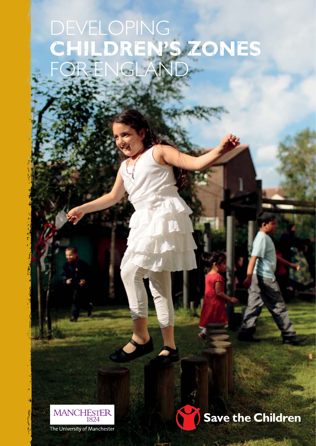# DEVELOPING **children's zones** for england



The University of Manchester

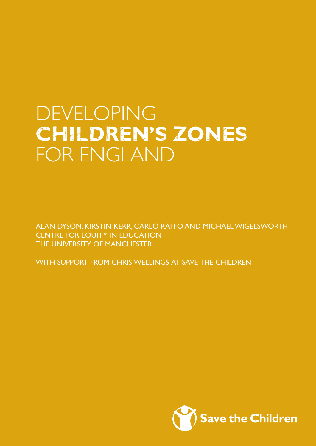# **DEVELOPING children's zones** for england

Alan Dyson, Kirstin Kerr, Carlo Raffo and Michael Wigelsworth CENTRE FOR EQUITY IN EDUCATION THE UNIVERSITY OF MANCHESTER

WITH SUPPORT FROM CHRIS WELLINGS AT SAVE THE CHILDREN

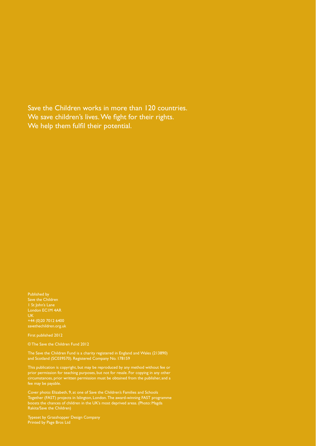Save the Children works in more than 120 countries. We save children's lives. We fight for their rights. We help them fulfil their potential.

Published by Save the Children 1 St John's Lane UK +44 (0)20 7012 6400 savethechildren.org.uk

First published 2012

© The Save the Children Fund 2012

The Save the Children Fund is a charity registered in England and Wales (213890) and Scotland (SC039570). Registered Company No. 178159

prior permission for teaching purposes, but not for resale. For copying in any other circumstances, prior written permission must be obtained from the publisher, and a fee may be payable.

Cover photo: Elizabeth, 9, at one of Save the Children's Families and Schools Together (FAST) projects in Islington, London. The award-winning FAST programme boosts the chances of children in the UK's most deprived areas. (Photo: Magda

Typeset by Grasshopper Design Company Printed by Page Bros Ltd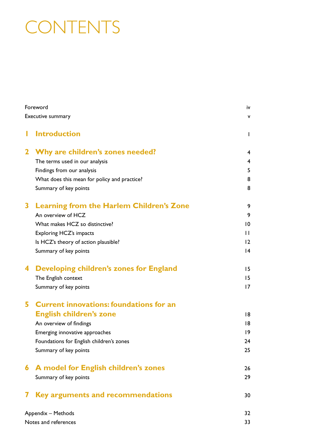# **CONTENTS**

| Foreword<br>Executive summary |                                                 |                |  |
|-------------------------------|-------------------------------------------------|----------------|--|
|                               |                                                 |                |  |
| $\mathbf{2}$                  | Why are children's zones needed?                | 4              |  |
|                               | The terms used in our analysis                  | $\overline{4}$ |  |
|                               | Findings from our analysis                      | 5              |  |
|                               | What does this mean for policy and practice?    | 8              |  |
|                               | Summary of key points                           | 8              |  |
| 3                             | <b>Learning from the Harlem Children's Zone</b> | 9              |  |
|                               | An overview of HCZ                              | 9              |  |
|                               | What makes HCZ so distinctive?                  | 10             |  |
|                               | <b>Exploring HCZ's impacts</b>                  | $\mathbf{H}$   |  |
|                               | Is HCZ's theory of action plausible?            | 12             |  |
|                               | Summary of key points                           | 4              |  |
| 4                             | <b>Developing children's zones for England</b>  | 15             |  |
|                               | The English context                             | 15             |  |
|                               | Summary of key points                           | 17             |  |
| 5.                            | <b>Current innovations: foundations for an</b>  |                |  |
|                               | <b>English children's zone</b>                  | 18             |  |
|                               | An overview of findings                         | 18             |  |
|                               | Emerging innovative approaches                  | $ 9\rangle$    |  |
|                               | Foundations for English children's zones        | 24             |  |
|                               | Summary of key points                           | 25             |  |
| 6.                            | A model for English children's zones            | 26             |  |
|                               | Summary of key points                           | 29             |  |
|                               | Key arguments and recommendations               | 30             |  |
| Appendix - Methods            | 32                                              |                |  |
| Notes and references          |                                                 |                |  |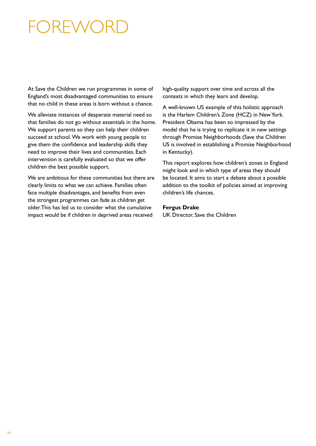## FOREWOR

At Save the Children we run programmes in some of England's most disadvantaged communities to ensure that no child in these areas is born without a chance.

We alleviate instances of desperate material need so that families do not go without essentials in the home. We support parents so they can help their children succeed at school. We work with young people to give them the confidence and leadership skills they need to improve their lives and communities. Each intervention is carefully evaluated so that we offer children the best possible support.

We are ambitious for these communities but there are clearly limits to what we can achieve. families often face multiple disadvantages, and benefits from even the strongest programmes can fade as children get older. This has led us to consider what the cumulative impact would be if children in deprived areas received

high-quality support over time and across all the contexts in which they learn and develop.

A well-known US example of this holistic approach is the Harlem Children's Zone (HCZ) in New York. President Obama has been so impressed by the model that he is trying to replicate it in new settings through Promise Neighborhoods (Save the Children US is involved in establishing a Promise Neighborhood in Kentucky).

This report explores how children's zones in England might look and in which type of areas they should be located. it aims to start a debate about a possible addition to the toolkit of policies aimed at improving children's life chances.

#### **Fergus Drake**

UK Director, Save the Children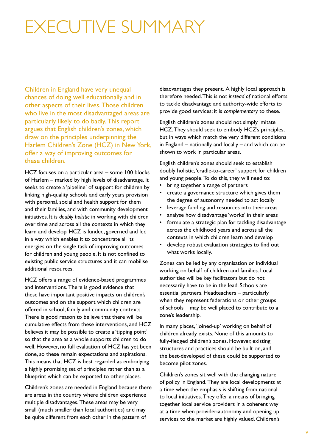## executive summary

Children in England have very unequal chances of doing well educationally and in other aspects of their lives. Those children who live in the most disadvantaged areas are particularly likely to do badly. This report argues that English children's zones, which draw on the principles underpinning the Harlem Children's Zone (HCZ) in New York, offer a way of improving outcomes for these children.

hCZ focuses on a particular area – some 100 blocks of Harlem – marked by high levels of disadvantage. It seeks to create a 'pipeline' of support for children by linking high-quality schools and early years provision with personal, social and health support for them and their families, and with community development initiatives. it is *doubly holistic* in working with children over time and across all the contexts in which they learn and develop. HCZ is funded, governed and led in a way which enables it to concentrate all its energies on the single task of improving outcomes for children and young people. it is not confined to existing public service structures and it can mobilise additional resources.

hCZ offers a range of evidence-based programmes and interventions. There is good evidence that these have important positive impacts on children's outcomes and on the support which children are offered in school, family and community contexts. There is good reason to believe that there will be cumulative effects from these interventions, and hCZ believes it may be possible to create a 'tipping point' so that the area as a whole supports children to do well. However, no full evaluation of HCZ has yet been done, so these remain expectations and aspirations. This means that HCZ is best regarded as embodying a highly promising set of principles rather than as a blueprint which can be exported to other places.

Children's zones are needed in England because there are areas in the country where children experience multiple disadvantages. These areas may be very small (much smaller than local authorities) and may be quite different from each other in the pattern of

disadvantages they present. A highly local approach is therefore needed. This is not *instead* of national efforts to tackle disadvantage and authority-wide efforts to provide good services; it is *complementary* to these.

English children's zones should not simply imitate HCZ. They should seek to embody HCZ's principles, but in ways which match the very different conditions in England – nationally and locally – and which can be shown to work in particular areas.

English children's zones should seek to establish doubly holistic, 'cradle-to-career' support for children and young people. To do this, they will need to:

- bring together a range of partners
- create a governance structure which gives them the degree of autonomy needed to act locally
- leverage funding and resources into their areas
- analyse how disadvantage 'works' in their areas
- formulate a strategic plan for tackling disadvantage across the childhood years and across all the contexts in which children learn and develop
- develop robust evaluation strategies to find out what works locally.

Zones can be led by any organisation or individual working on behalf of children and families. local authorities will be key facilitators but do not necessarily have to be in the lead. Schools are essential partners. Headteachers - particularly when they represent federations or other groups of schools – may be well placed to contribute to a zone's leadership.

in many places, 'joined-up' working on behalf of children already exists. None of this amounts to fully-fledged children's zones. However, existing structures and practices should be built on, and the best-developed of these could be supported to become pilot zones.

Children's zones sit well with the changing nature of policy in England. They are local developments at a time when the emphasis is shifting from national to local initiatives. They offer a means of bringing together local service providers in a coherent way at a time when provider-autonomy and opening up services to the market are highly valued. Children's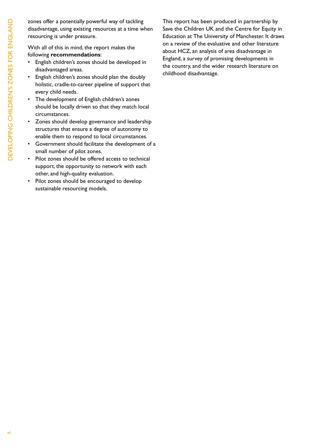zones offer a potentially powerful way of tackling disadvantage, using existing resources at a time when resourcing is under pressure.

With all of this in mind, the report makes the following **recommendations**:

- • English children's zones should be developed in disadvantaged areas.
- English children's zones should plan the doubly holistic, cradle-to-career pipeline of support that every child needs.
- • The development of English children's zones should be locally driven so that they match local circumstances.
- • Zones should develop governance and leadership structures that ensure a degree of autonomy to enable them to respond to local circumstances.
- • Government should facilitate the development of a small number of pilot zones.
- • Pilot zones should be offered access to technical support, the opportunity to network with each other, and high-quality evaluation.
- • Pilot zones should be encouraged to develop sustainable resourcing models.

This report has been produced in partnership by Save the Children UK and the Centre for Equity in Education at The University of Manchester. It draws on a review of the evaluative and other literature about hCZ, an analysis of area disadvantage in England, a survey of promising developments in the country, and the wider research literature on childhood disadvantage.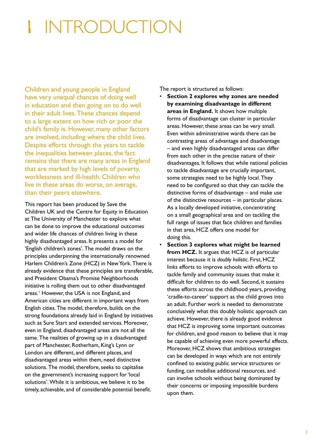# 1 introduction

Children and young people in England have very unequal chances of doing well in education and then going on to do well in their adult lives. These chances depend to a large extent on how rich or poor the child's family is. However, many other factors are involved, including where the child lives. Despite efforts through the years to tackle the inequalities between places, the fact remains that there are many areas in England that are marked by high levels of poverty, worklessness and ill-health. Children who live in these areas do worse, on average, than their peers elsewhere.

This report has been produced by Save the Children UK and the Centre for Equity in Education at The University of Manchester to explore what can be done to improve the educational outcomes and wider life chances of children living in these highly disadvantaged areas. it presents a model for 'English children's zones'. The model draws on the principles underpinning the internationally renowned Harlem Children's Zone (HCZ) in New York. There is already evidence that these principles are transferable, and President Obama's Promise Neighborhoods initiative is rolling them out to other disadvantaged areas.<sup>1</sup> However, the USA is not England, and American cities are different in important ways from English cities. The model, therefore, builds on the strong foundations already laid in England by initiatives such as Sure Start and extended services. Moreover, even in England, disadvantaged areas are not all the same. The realities of growing up in a disadvantaged part of Manchester, Rotherham, King's Lynn or London are different, and different places, and disadvantaged areas within them, need distinctive solutions. The model, therefore, seeks to capitalise on the government's increasing support for 'local solutions'. While it is ambitious, we believe it to be timely, achievable, and of considerable potential benefit.

The report is structured as follows:

- Section 2 explores why zones are needed **by examining disadvantage in different areas in England.** it shows how multiple forms of disadvantage can cluster in particular areas. however, these areas can be very small. Even within administrative wards there can be contrasting areas of advantage and disadvantage – and even highly disadvantaged areas can differ from each other in the precise nature of their disadvantages. it follows that while national policies to tackle disadvantage are crucially important, some strategies need to be highly local. They need to be configured so that they can tackle the distinctive forms of disadvantage – and make use of the distinctive resources – in particular places. As a locally developed initiative, concentrating on a small geographical area and on tackling the full range of issues that face children and families in that area, HCZ offers one model for doing this.
- **Section 3 explores what might be learned from HCZ.** It argues that HCZ is of particular interest because it is *doubly holistic*. first, hCZ links efforts to improve schools with efforts to tackle family and community issues that make it difficult for children to do well. Second, it sustains these efforts across the childhood years, providing 'cradle-to-career' support as the child grows into an adult. further work is needed to demonstrate conclusively what this doubly holistic approach can achieve. However, there is already good evidence that hCZ is improving some important outcomes for children, and good reason to believe that it may be capable of achieving even more powerful effects. Moreover, hCZ shows that ambitious strategies can be developed in ways which are not entirely confined to existing public service structures or funding, can mobilise additional resources, and can involve schools without being dominated by their concerns or imposing impossible burdens upon them.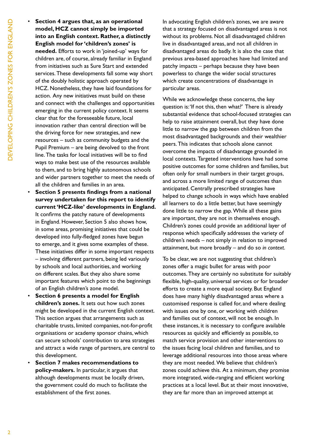• **Section 4 argues that, as an operational model, HCZ cannot simply be imported into an English context. Rather, a distinctly English model for 'children's zones' is**  needed. Efforts to work in 'joined-up' ways for children are, of course, already familiar in England from initiatives such as Sure Start and extended services. These developments fall some way short of the doubly holistic approach operated by HCZ. Nonetheless, they have laid foundations for action. Any new initiatives must build on these and connect with the challenges and opportunities emerging in the current policy context. it seems clear that for the foreseeable future, local innovation rather than central direction will be the driving force for new strategies, and new resources – such as community budgets and the Pupil Premium – are being devolved to the front line. The tasks for local initiatives will be to find ways to make best use of the resources available to them, and to bring highly autonomous schools and wider partners together to meet the needs of all the children and families in an area.

- • **Section 5 presents findings from a national survey undertaken for this report to identify current 'HCZ-like' developments in England.** it confirms the patchy nature of developments in England. However, Section 5 also shows how, in some areas, promising initiatives that could be developed into fully-fledged zones have begun to emerge, and it gives some examples of these. These initiatives differ in some important respects – involving different partners, being led variously by schools and local authorities, and working on different scales. But they also share some important features which point to the beginnings of an English children's zone model.
- **Section 6 presents a model for English children's zones.** it sets out how such zones might be developed in the current English context. This section argues that arrangements such as charitable trusts, limited companies, not-for-profit organisations or academy sponsor chains, which can secure schools' contribution to area strategies and attract a wide range of partners, are central to this development.
- **Section 7 makes recommendations to policy-makers.** in particular, it argues that although developments must be locally driven, the government could do much to facilitate the establishment of the first zones.

In advocating English children's zones, we are aware that a strategy focused on disadvantaged areas is not without its problems. Not all disadvantaged children live in disadvantaged areas, and not all children in disadvantaged areas do badly. it is also the case that previous area-based approaches have had limited and patchy impacts – perhaps because they have been powerless to change the wider social structures which create concentrations of disadvantage in particular areas.

While we acknowledge these concerns, the key question is: 'If not this, then what?' There is already substantial evidence that school-focused strategies can help to raise attainment overall, but they have done little to narrow the gap between children from the most disadvantaged backgrounds and their wealthier peers. This indicates that schools alone cannot overcome the impacts of disadvantage grounded in local contexts. Targeted interventions have had some positive outcomes for some children and families, but often only for small numbers in their target groups, and across a more limited range of outcomes than anticipated. Centrally prescribed strategies have helped to change schools in ways which have enabled all learners to do a little better, but have seemingly done little to narrow the gap. While all these gains are important, they are not in themselves enough. Children's zones could provide an additional layer of response which specifically addresses the variety of children's needs – not simply in relation to improved attainment, but more broadly – and do so *in context*.

To be clear, we are not suggesting that children's zones offer a magic bullet for areas with poor outcomes. They are certainly no substitute for suitably flexible, high-quality, universal services or for broader efforts to create a more equal society. But England does have many highly disadvantaged areas where a customised response is called for, and where dealing with issues one by one, or working with children and families out of context, will not be enough. in these instances, it is necessary to configure available resources as quickly and efficiently as possible, to match service provision and other interventions to the issues facing local children and families, and to leverage additional resources into those areas where they are most needed. We believe that children's zones could achieve this. At a minimum, they promise more integrated, wide-ranging and efficient working practices at a local level. But at their most innovative, they are far more than an improved attempt at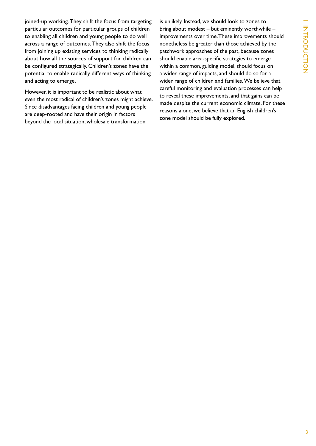joined-up working. They shift the focus from targeting particular outcomes for particular groups of children to enabling all children and young people to do well across a range of outcomes. They also shift the focus from joining up existing services to thinking radically about how all the sources of support for children can be configured strategically. Children's zones have the potential to enable radically different ways of thinking and acting to emerge.

however, it is important to be realistic about what even the most radical of children's zones might achieve. since disadvantages facing children and young people are deep-rooted and have their origin in factors beyond the local situation, wholesale transformation

is unlikely. Instead, we should look to zones to bring about modest – but eminently worthwhile – improvements over time. These improvements should nonetheless be greater than those achieved by the patchwork approaches of the past, because zones should enable area-specific strategies to emerge within a common, guiding model, should focus on a wider range of impacts, and should do so for a wider range of children and families. We believe that careful monitoring and evaluation processes can help to reveal these improvements, and that gains can be made despite the current economic climate. for these reasons alone, we believe that an English children's zone model should be fully explored.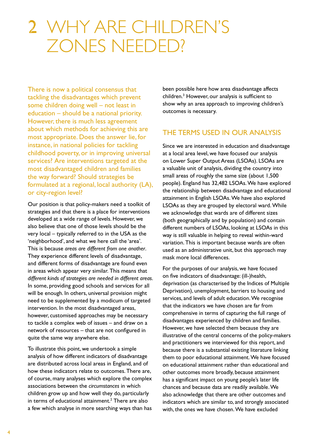## 2 why are children's Zones needed?

There is now a political consensus that tackling the disadvantages which prevent some children doing well – not least in education – should be a national priority. However, there is much less agreement about which methods for achieving this are most appropriate. Does the answer lie, for instance, in national policies for tackling childhood poverty, or in improving universal services? Are interventions targeted at the most disadvantaged children and families the way forward? should strategies be formulated at a regional, local authority (LA), or city-region level?

Our position is that policy-makers need a toolkit of strategies and that there is a place for interventions developed at a wide range of levels. However, we also believe that one of those levels should be the very local  $-$  typically referred to in the USA as the 'neighborhood', and what we here call the 'area'. This is because *areas are different from one another*. They experience different levels of disadvantage, and different forms of disadvantage are found even in areas which appear very similar. This means that *different kinds of strategies are needed in different areas*. In some, providing good schools and services for all will be enough. In others, universal provision might need to be supplemented by a modicum of targeted intervention. In the most disadvantaged areas, however, customised approaches may be necessary to tackle a complex web of issues – and draw on a network of resources – that are not configured in quite the same way anywhere else.

To illustrate this point, we undertook a simple analysis of how different indicators of disadvantage are distributed across local areas in England, and of how these indicators relate to outcomes. There are, of course, many analyses which explore the complex associations between the *circumstances* in which children grow up and how well they do, particularly in terms of educational attainment.<sup>2</sup> There are also a few which analyse in more searching ways than has

been possible here how area disadvantage affects children.<sup>3</sup> However, our analysis is sufficient to show why an area approach to improving children's outcomes is necessary.

## THE TERMS USED IN OUR ANALYSIS

since we are interested in education and disadvantage at a local area level, we have focused our analysis on Lower Super Output Areas (LSOAs). LSOAs are a valuable unit of analysis, dividing the country into small areas of roughly the same size (about 1,500 people). England has 32,482 LSOAs. We have explored the relationship between disadvantage and educational attainment in English LSOAs. We have also explored LSOAs as they are grouped by electoral ward. While we acknowledge that wards are of different sizes (both geographically and by population) and contain different numbers of LSOAs, looking at LSOAs in this way is still valuable in helping to reveal within-ward variation. This is important because wards are often used as an administrative unit, but this approach may mask more local differences.

for the purposes of our analysis, we have focused on five indicators of disadvantage: (ill-)health, deprivation (as characterised by the indices of Multiple Deprivation), unemployment, barriers to housing and services, and levels of adult education. We recognise that the indicators we have chosen are far from comprehensive in terms of capturing the full range of disadvantages experienced by children and families. however, we have selected them because they are illustrative of the central concerns of the policy-makers and practitioners we interviewed for this report, and because there is a substantial existing literature linking them to poor educational attainment. We have focused on educational attainment rather than educational and other outcomes more broadly, because attainment has a significant impact on young people's later life chances and because data are readily available. We also acknowledge that there are other outcomes and indicators which are similar to, and strongly associated with, the ones we have chosen. We have excluded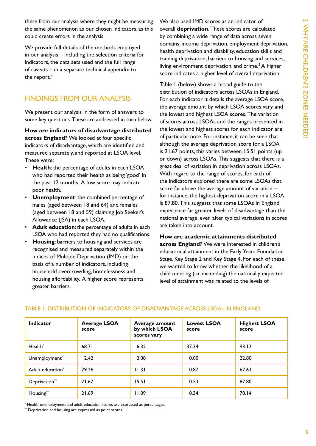these from our analysis where they might be measuring the same phenomenon as our chosen indicators, as this could create errors in the analysis.

We provide full details of the methods employed in our analysis – including the selection criteria for indicators, the data sets used and the full range of caveats – in a separate technical appendix to the report.<sup>4</sup>

## finDings froM our AnAlysis

We present our analysis in the form of answers to some key questions. These are addressed in turn below.

**How are indicators of disadvantage distributed across England?** We looked at four specific indicators of disadvantage, which are identified and measured separately, and reported at LSOA level. These were:

- **Health:** the percentage of adults in each LSOA who had reported their health as being 'good' in the past 12 months. A low score may indicate poor health.
- **Unemployment:** the combined percentage of males (aged between 18 and 64) and females (aged between 18 and 59) claiming Job Seeker's Allowance (ISA) in each LSOA.
- Adult education: the percentage of adults in each LSOA who had reported they had no qualifications.
- **Housing:** barriers to housing and services are recognised and measured separately within the indices of Multiple Deprivation (iMD) on the basis of a number of indicators, including household overcrowding, homelessness and housing affordability. A higher score represents greater barriers.

We also used iMD scores as an indicator of overall **deprivation**. These scores are calculated by combining a wide range of data across seven domains: income deprivation, employment deprivation, health deprivation and disability, education skills and training deprivation, barriers to housing and services, living environment deprivation, and crime.<sup>5</sup> A higher score indicates a higher level of overall deprivation.

Table 1 (below) shows a broad guide to the distribution of indicators across LSOAs in England. For each indicator it details the average LSOA score, the average amount by which LSOA scores vary, and the lowest and highest LSOA scores. The variation of scores across LSOAs and the ranges presented in the lowest and highest scores for each indicator are of particular note. for instance, it can be seen that although the average deprivation score for a LSOA is 21.67 points, this varies between 15.51 points (up or down) across LSOAs. This suggests that there is a great deal of variation in deprivation across LSOAs. With regard to the range of scores, for each of the indicators explored there are some LSOAs that score far above the average amount of variation – for instance, the highest deprivation score in a LSOA is 87.80. This suggests that some LSOAs in England experience far greater levels of disadvantage than the national average, even after typical variations in scores are taken into account.

**How are academic attainments distributed across England?** We were interested in children's educational attainment in the Early Years Foundation stage, Key stage 2 and Key stage 4. for each of these, we wanted to know whether the likelihood of a child meeting (or exceeding) the nationally expected level of attainment was related to the levels of

| <b>Indicator</b>             | <b>Average LSOA</b><br>score | Average amount<br>by which LSOA<br>scores vary | <b>Lowest LSOA</b><br>score | <b>Highest LSOA</b><br>score |
|------------------------------|------------------------------|------------------------------------------------|-----------------------------|------------------------------|
| Health*                      | 68.71                        | 6.32                                           | 37.34                       | 93.12                        |
| Unemployment*                | 2.42                         | 2.08                                           | 0.00                        | 22.80                        |
| Adult education <sup>*</sup> | 29.26                        | 11.3                                           | 0.87                        | 67.63                        |
| Deprivation**                | 21.67                        | 15.51                                          | 0.53                        | 87.80                        |
| Housing**                    | 21.69                        | 11.09                                          | 0.34                        | 70.14                        |

#### tABle 1. DistriBution of inDiCAtors of DisADvAntAge ACross lsoAs in englAnD

 $^*$  Health, unemployment and adult education scores are expressed as percentages.<br>\*\* Deprivation and housing are expressed as point scores.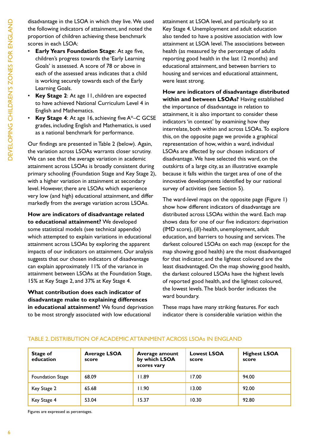disadvantage in the LSOA in which they live. We used the following indicators of attainment, and noted the proportion of children achieving these benchmark scores in each LSOA:

- **Early Years Foundation Stage: At age five,** children's progress towards the 'Early Learning Goals' is assessed. A score of 78 or above in each of the assessed areas indicates that a child is working securely towards each of the Early Learning Goals.
- **Key Stage 2:** At age 11, children are expected to have achieved National Curriculum Level 4 in English and Mathematics.
- **Key Stage 4:** At age 16, achieving five  $A^*$ –C GCSE grades, including English and Mathematics, is used as a national benchmark for performance.

Our findings are presented in Table 2 (below). Again, the variation across LSOAs warrants closer scrutiny. We can see that the average variation in academic attainment across LSOAs is broadly consistent during primary schooling (Foundation Stage and Key Stage 2), with a higher variation in attainment at secondary level. However, there are LSOAs which experience very low (and high) educational attainment, and differ markedly from the average variation across LSOAs.

**How are indicators of disadvantage related to educational attainment?** We developed some statistical models (see technical appendix) which attempted to explain variations in educational attainment across LSOAs by exploring the apparent impacts of our indicators on attainment. Our analysis suggests that our chosen indicators of disadvantage can explain approximately 11% of the variance in attainment between LSOAs at the Foundation Stage, 15% at Key stage 2, and 37% at Key stage 4.

**What contribution does each indicator of disadvantage make to explaining differences in educational attainment?** We found deprivation to be most strongly associated with low educational

attainment at LSOA level, and particularly so at Key Stage 4. Unemployment and adult education also tended to have a positive association with low attainment at LSOA level. The associations between health (as measured by the percentage of adults reporting good health in the last 12 months) and educational attainment, and between barriers to housing and services and educational attainment, were least strong.

**How are indicators of disadvantage distributed within and between LSOAs?** Having established the importance of disadvantage in relation to attainment, it is also important to consider these indicators 'in context' by examining how they interrelate, both within and across LSOAs. To explore this, on the opposite page we provide a graphical representation of how, within a ward, individual LSOAs are affected by our chosen indicators of disadvantage. We have selected this ward, on the outskirts of a large city, as an illustrative example because it falls within the target area of one of the innovative developments identified by our national survey of activities (see Section 5).

The ward-level maps on the opposite page (Figure 1) show how different indicators of disadvantage are distributed across LSOAs within the ward. Each map shows data for one of our five indicators: deprivation (iMD score), (ill)-health, unemployment, adult education, and barriers to housing and services. The darkest coloured LSOAs on each map (except for the map showing good health) are the most disadvantaged for that indicator, and the lightest coloured are the least disadvantaged. On the map showing good health, the darkest coloured LSOAs have the highest levels of reported good health, and the lightest coloured, the lowest levels. The black border indicates the ward boundary.

These maps have many striking features. For each indicator there is considerable variation within the

| <b>Stage of</b><br>education | <b>Average LSOA</b><br>score | Average amount<br>by which LSOA<br>scores vary | <b>Lowest LSOA</b><br>score | <b>Highest LSOA</b><br>score |
|------------------------------|------------------------------|------------------------------------------------|-----------------------------|------------------------------|
| <b>Foundation Stage</b>      | 68.09                        | 11.89                                          | 17.00                       | 94.00                        |
| Key Stage 2                  | 65.68                        | 11.90                                          | 13.00                       | 92.00                        |
| Key Stage 4                  | 53.04                        | 15.37                                          | 10.30                       | 92.80                        |

#### tABle 2. DistriBution of ACADeMiC AttAinMent ACross lsoAs in englAnD

figures are expressed as percentages.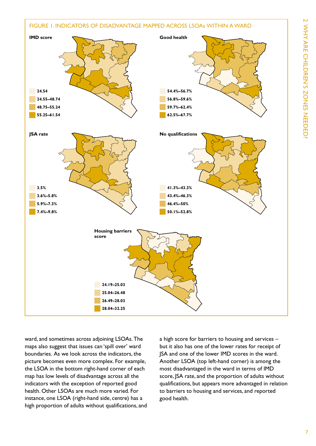

ward, and sometimes across adjoining LSOAs. The maps also suggest that issues can 'spill over' ward boundaries. As we look across the indicators, the picture becomes even more complex. for example, the LSOA in the bottom right-hand corner of each map has low levels of disadvantage across all the indicators with the exception of reported good health. Other LSOAs are much more varied. For instance, one LSOA (right-hand side, centre) has a high proportion of adults without qualifications, and a high score for barriers to housing and services – but it also has one of the lower rates for receipt of JsA and one of the lower iMD scores in the ward. Another LSOA (top left-hand corner) is among the most disadvantaged in the ward in terms of iMD score, JSA rate, and the proportion of adults without qualifications, but appears more advantaged in relation to barriers to housing and services, and reported good health.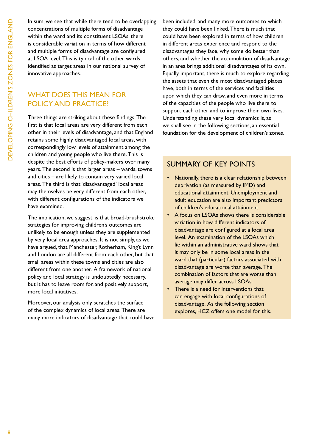In sum, we see that while there tend to be overlapping concentrations of multiple forms of disadvantage within the ward and its constituent LSOAs, there is considerable variation in terms of how different and multiple forms of disadvantage are configured at LSOA level. This is typical of the other wards identified as target areas in our national survey of innovative approaches.

## WHAT DOES THIS MEAN FOR POLICY AND PRACTICE?

Three things are striking about these findings. The first is that local areas are very different from each other in their levels of disadvantage, and that England retains some highly disadvantaged local areas, with correspondingly low levels of attainment among the children and young people who live there. This is despite the best efforts of policy-makers over many years. The second is that larger areas – wards, towns and cities – are likely to contain very varied local areas. The third is that 'disadvantaged' local areas may themselves be very different from each other, with different configurations of the indicators we have examined.

The implication, we suggest, is that broad-brushstroke strategies for improving children's outcomes are unlikely to be enough unless they are supplemented by very local area approaches. it is not simply, as we have argued, that Manchester, Rotherham, King's Lynn and london are all different from each other, but that small areas within these towns and cities are also different from one another. A framework of national policy and local strategy is undoubtedly necessary, but it has to leave room for, and positively support, more local initiatives.

Moreover, our analysis only scratches the surface of the complex dynamics of local areas. There are many more indicators of disadvantage that could have been included, and many more outcomes to which they could have been linked. There is much that could have been explored in terms of how children in different areas experience and respond to the disadvantages they face, why some do better than others, and whether the accumulation of disadvantage in an area brings additional disadvantages of its own. Equally important, there is much to explore regarding the assets that even the most disadvantaged places have, both in terms of the services and facilities upon which they can draw, and even more in terms of the capacities of the people who live there to support each other and to improve their own lives. Understanding these very local dynamics is, as we shall see in the following sections, an essential foundation for the development of children's zones.

## suMMAry of Key points

- Nationally, there is a clear relationship between deprivation (as measured by iMD) and educational attainment. Unemployment and adult education are also important predictors of children's educational attainment.
- A focus on LSOAs shows there is considerable variation in how different indicators of disadvantage are configured at a local area level. An examination of the LSOAs which lie within an administrative ward shows that it may only be in some local areas in the ward that (particular) factors associated with disadvantage are worse than average. The combination of factors that are worse than average may differ across LSOAs.
- There is a need for interventions that can engage with local configurations of disadvantage. As the following section explores, hCZ offers one model for this.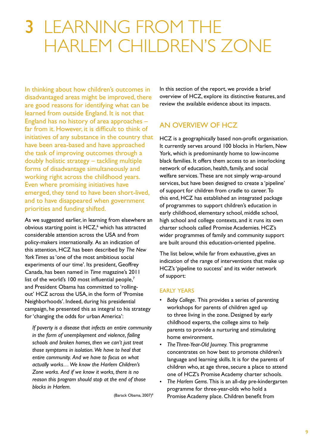## 3 learning from the harlem children's Zone

In thinking about how children's outcomes in disadvantaged areas might be improved, there are good reasons for identifying what can be learned from outside England. It is not that England has no history of area approaches  $$ far from it. However, it is difficult to think of initiatives of any substance in the country that have been area-based and have approached the task of improving outcomes through a doubly holistic strategy – tackling multiple forms of disadvantage simultaneously and working right across the childhood years. Even where promising initiatives have emerged, they tend to have been short-lived, and to have disappeared when government priorities and funding shifted.

As we suggested earlier, in learning from elsewhere an obvious starting point is HCZ,<sup>6</sup> which has attracted considerable attention across the USA and from policy-makers internationally. As an indication of this attention, hCZ has been described by *The New York Times* as 'one of the most ambitious social experiments of our time'. Its president, Geoffrey Canada, has been named in *Time* magazine's 2011 list of the world's  $100$  most influential people,<sup>7</sup> and President Obama has committed to 'rollingout' HCZ across the USA, in the form of 'Promise Neighborhoods'. Indeed, during his presidential campaign, he presented this as integral to his strategy for 'changing the odds for urban America':

*If poverty is a disease that infects an entire community in the form of unemployment and violence, failing schools and broken homes, then we can't just treat those symptoms in isolation. We have to heal that entire community. And we have to focus on what actually works… We know the Harlem Children's Zone works. And if we know it works, there is no reason this program should stop at the end of those blocks in Harlem.*

(Barack Obama, 2007)<sup>8</sup>

In this section of the report, we provide a brief overview of hCZ, explore its distinctive features, and review the available evidence about its impacts.

## An overvieW of hCZ

hCZ is a geographically based non-profit organisation. It currently serves around 100 blocks in Harlem, New York, which is predominantly home to low-income black families. it offers them access to an interlocking network of education, health, family, and social welfare services. These are not simply wrap-around services, but have been designed to create a 'pipeline' of support for children from cradle to career. To this end, hCZ has established an integrated package of programmes to support children's education in early childhood, elementary school, middle school, high school and college contexts, and it runs its own charter schools called promise Academies. hCZ's wider programmes of family and community support are built around this education-oriented pipeline.

The list below, while far from exhaustive, gives an indication of the range of interventions that make up hCZ's 'pipeline to success' and its wider network of support:

#### **EARLY YEARS**

- Baby College. This provides a series of parenting workshops for parents of children aged up to three living in the zone. Designed by early childhood experts, the college aims to help parents to provide a nurturing and stimulating home environment.
- The Three-Year-Old Journey. This programme concentrates on how best to promote children's language and learning skills. It is for the parents of children who, at age three, secure a place to attend one of HCZ's Promise Academy charter schools.
- The Harlem Gems. This is an all-day pre-kindergarten programme for three-year-olds who hold a promise Academy place. Children benefit from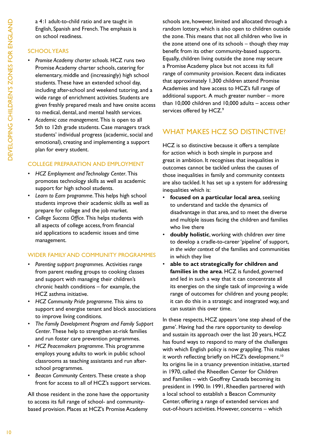a 4:1 adult-to-child ratio and are taught in English, Spanish and French. The emphasis is on school readiness.

### SCHOOL YEARS

- Promise Academy charter schools. HCZ runs two promise Academy charter schools, catering for elementary, middle and (increasingly) high school students. These have an extended school day, including after-school and weekend tutoring, and a wide range of enrichment activities. Students are given freshly prepared meals and have onsite access to medical, dental, and mental health services.
- • *Academic case management*. this is open to all 5th to 12th grade students. Case managers track students' individual progress (academic, social and emotional), creating and implementing a support plan for every student.

#### College prepArAtion AnD eMployMent

- HCZ Employment and Technology Center. This promotes technology skills as well as academic support for high school students.
- Learn to Earn programme. This helps high school students improve their academic skills as well as prepare for college and the job market.
- College Success Office. This helps students with all aspects of college access, from financial aid applications to academic issues and time management.

### WiDer fAMily AnD CoMMunity progrAMMes

- • *Parenting support programmes*. Activities range from parent reading groups to cooking classes and support with managing their children's chronic health conditions – for example, the hCZ asthma initiative.
- HCZ Community Pride programme. This aims to support and energise tenant and block associations to improve living conditions.
- • *The Family Development Program and Family Support Center*. These help to strengthen at-risk families and run foster care prevention programmes.
- HCZ Peacemakers programme. This programme employs young adults to work in public school classrooms as teaching assistants and run afterschool programmes.
- Beacon Community Centers. These create a shop front for access to all of hCZ's support services.

All those resident in the zone have the opportunity to access its full range of school- and communitybased provision. Places at HCZ's Promise Academy

schools are, however, limited and allocated through a random lottery, which is also open to children outside the zone. This means that not all children who live in the zone attend one of its schools – though they may benefit from its other community-based supports. Equally, children living outside the zone may secure a Promise Academy place but not access its full range of community provision. Recent data indicates that approximately 1,300 children attend Promise Academies and have access to hCZ's full range of additional support. A much greater number – more than 10,000 children and 10,000 adults – access other services offered by HCZ.9

## WHAT MAKES HCZ SO DISTINCTIVE?

hCZ is so distinctive because it offers a template for action which is both simple in purpose and great in ambition. it recognises that inequalities in outcomes cannot be tackled unless the causes of those inequalities in family and community contexts are also tackled. it has set up a system for addressing inequalities which is:

- • **focused on a particular local area**, seeking to understand and tackle the dynamics of disadvantage in that area, and to meet the diverse and multiple issues facing the children and families who live there
- • **doubly holistic**, working with children *over time* to develop a cradle-to-career 'pipeline' of support, *in the wider context* of the families and communities in which they live
- • **able to act strategically for children and**  families in the area. HCZ is funded, governed and led in such a way that it can concentrate all its energies on the single task of improving a wide range of outcomes for children and young people; it can do this in a strategic and integrated way, and can sustain this over time.

In these respects, HCZ appears 'one step ahead of the game'. Having had the rare opportunity to develop and sustain its approach over the last 20 years, HCZ has found ways to respond to many of the challenges with which English policy is now grappling. This makes it worth reflecting briefly on HCZ's development.<sup>10</sup> Its origins lie in a truancy prevention initiative, started in 1970, called the Rheedlen Center for Children and Families – with Geoffrey Canada becoming its president in 1990. In 1991, Rheedlen partnered with a local school to establish a Beacon Community Center, offering a range of extended services and out-of-hours activities. however, concerns – which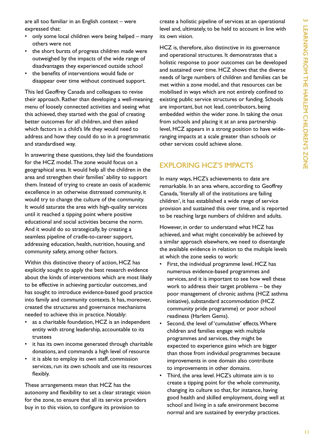are all too familiar in an English context – were expressed that:

- only some local children were being helped many others were not
- the short bursts of progress children made were outweighed by the impacts of the wide range of disadvantages they experienced outside school
- the benefits of interventions would fade or disappear over time without continued support.

This led Geoffrey Canada and colleagues to revise their approach. Rather than developing a well-meaning menu of loosely connected activities and seeing what this achieved, they started with the goal of creating better outcomes for all children, and then asked which factors in a child's life they would need to address and how they could do so in a programmatic and standardised way.

In answering these questions, they laid the foundations for the HCZ model. The zone would focus on a geographical area. it would help all the children in the area and strengthen their families' ability to support them. Instead of trying to create an oasis of academic excellence in an otherwise distressed community, it would try to change the culture of the community. it would saturate the area with high-quality services until it reached a tipping point where positive educational and social activities became the norm. And it would do so strategically, by creating a seamless pipeline of cradle-to-career support, addressing education, health, nutrition, housing, and community safety, among other factors.

Within this distinctive theory of action, HCZ has explicitly sought to apply the best research evidence about the kinds of interventions which are most likely to be effective in achieving particular outcomes, and has sought to introduce evidence-based good practice into family and community contexts. it has, moreover, created the structures and governance mechanisms needed to achieve this in practice. Notably:

- as a charitable foundation, HCZ is an independent entity with strong leadership, accountable to its trustees
- it has its own income generated through charitable donations, and commands a high level of resource
- it is able to employ its own staff, commission services, run its own schools and use its resources flexibly.

These arrangements mean that HCZ has the autonomy and flexibility to set a clear strategic vision for the zone, to ensure that all its service providers buy in to this vision, to configure its provision to

create a holistic pipeline of services at an operational level and, ultimately, to be held to account in line with its own vision.

hCZ is, therefore, also distinctive in its governance and operational structures. it demonstrates that a holistic response to poor outcomes can be developed and sustained over time. HCZ shows that the diverse needs of large numbers of children and families can be met within a zone model, and that resources can be mobilised in ways which are not entirely confined to existing public service structures or funding. Schools are important, but not lead, contributors, being embedded within the wider zone. in taking the onus from schools and placing it at an area partnership level, hCZ appears in a strong position to have wideranging impacts at a scale greater than schools or other services could achieve alone.

## **EXPLORING HCZ'S IMPACTS**

in many ways, hCZ's achievements to date are remarkable. In an area where, according to Geoffrey Canada, 'literally all of the institutions are failing children', it has established a wide range of service provision and sustained this over time, and is reported to be reaching large numbers of children and adults.

However, in order to understand what HCZ has achieved, and what might conceivably be achieved by a similar approach elsewhere, we need to disentangle the available evidence in relation to the multiple levels at which the zone seeks to work:

- First, the individual programme level. HCZ has numerous evidence-based programmes and services, and it is important to see how well these work to address their target problems – be they poor management of chronic asthma (hCZ asthma initiative), substandard accommodation (hCZ community pride programme) or poor school readiness (Harlem Gems).
- Second, the level of 'cumulative' effects. Where children and families engage with multiple programmes and services, they might be expected to experience gains which are bigger than those from individual programmes because improvements in one domain also contribute to improvements in other domains.
- Third, the area level. HCZ's ultimate aim is to create a tipping point for the whole community, changing its culture so that, for instance, having good health and skilled employment, doing well at school and living in a safe environment become normal and are sustained by everyday practices.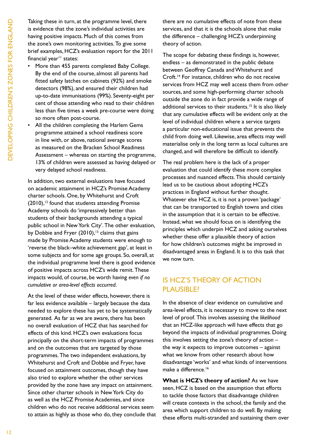Taking these in turn, at the programme level, there is evidence that the zone's individual activities are having positive impacts. Much of this comes from the zone's own monitoring activities. To give some brief examples, hCZ's evaluation report for the 2011 financial year $11$  states:

- More than 455 parents completed Baby College. By the end of the course, almost all parents had fitted safety latches on cabinets (92%) and smoke detectors (98%), and ensured their children had up-to-date immunisations (99%). Seventy-eight per cent of those attending who read to their children less than five times a week pre-course were doing so more often post-course.
- All the children completing the Harlem Gems programme attained a school readiness score in line with, or above, national average scores as measured on the Bracken School Readiness Assessment – whereas on starting the programme, 13% of children were assessed as having delayed or very delayed school readiness.

In addition, two external evaluations have focused on academic attainment in HCZ's Promise Academy charter schools. One, by Whitehurst and Croft  $(2010)$ ,<sup>12</sup> found that students attending Promise Academy schools do 'impressively better than students of their backgrounds attending a typical public school in New York City'. The other evaluation, by Dobbie and Fryer  $(2010),$ <sup>13</sup> claims that gains made by Promise Academy students were enough to 'reverse the black–white achievement gap', at least in some subjects and for some age groups. So, overall, at the individual programme level there is good evidence of positive impacts across HCZ's wide remit. These impacts would, of course, be worth having *even if no cumulative or area-level effects occurred*.

At the level of these wider effects, however, there is far less evidence available – largely because the data needed to explore these has yet to be systematically generated. As far as we are aware, there has been no overall evaluation of hCZ that has searched for effects of this kind. hCZ's own evaluations focus principally on the short-term impacts of programmes and on the outcomes that are targeted by those programmes. The two independent evaluations, by Whitehurst and Croft and Dobbie and fryer, have focused on attainment outcomes, though they have also tried to explore whether the other services provided by the zone have any impact on attainment. Since other charter schools in New York City do as well as the HCZ Promise Academies, and since children who do not receive additional services seem to attain as highly as those who do, they conclude that

there are no cumulative effects of note from these services, and that it is the schools alone that make the difference - challenging HCZ's underpinning theory of action.

The scope for debating these findings is, however, endless – as demonstrated in the public debate between geoffrey Canada and Whitehurst and Croft.<sup>14</sup> For instance, children who do not receive services from hCZ may well access them from other sources, and some high-performing charter schools outside the zone do in fact provide a wide range of additional services to their students.<sup>15</sup> It is also likely that any cumulative effects will be evident only at the level of individual children where a service targets a particular non-educational issue that prevents the child from doing well. Likewise, area effects may well materialise only in the long term as local cultures are changed, and will therefore be difficult to identify.

The real problem here is the lack of a proper evaluation that could identify these more complex processes and nuanced effects. This should certainly lead us to be cautious about adopting HCZ's practices in England without further thought. Whatever else hCZ is, it is not a proven 'package' that can be transported to English towns and cities in the assumption that it is certain to be effective. Instead, what we should focus on is identifying the principles which underpin hCZ and asking ourselves whether these offer a plausible theory of action for how children's outcomes might be improved in disadvantaged areas in England. It is to this task that we now turn.

## **IS HCZ'S THEORY OF ACTION** plAusiBle?

in the absence of clear evidence on cumulative and area-level effects, it is necessary to move to the next level of proof. This involves assessing the *likelihood* that an hCZ-like approach will have effects that go beyond the impacts of individual programmes. Doing this involves setting the zone's theory of action – the way it expects to improve outcomes – against what we know from other research about how disadvantage 'works' and what kinds of interventions make a difference.<sup>16</sup>

**What is HCZ's theory of action?** As we have seen, hCZ is based on the assumption that efforts to tackle those factors that disadvantage children will create contexts in the school, the family and the area which support children to do well. By making these efforts multi-stranded and sustaining them over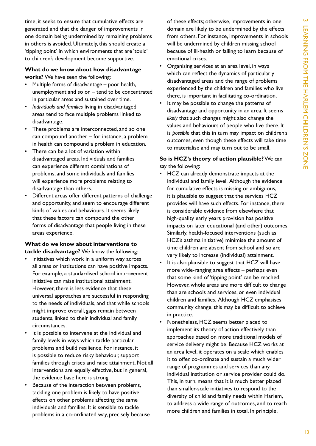time, it seeks to ensure that cumulative effects are generated and that the danger of improvements in one domain being undermined by remaining problems in others is avoided. Ultimately, this should create a 'tipping point' in which environments that are 'toxic' to children's development become supportive.

#### **What do we know about how disadvantage works?** We have seen the following:

- Multiple forms of disadvantage  $-$  poor health, unemployment and so on – tend to be concentrated in particular areas and sustained over time.
- Individuals and families living in disadvantaged areas tend to face multiple problems linked to disadvantage.
- These problems are interconnected, and so one can compound another – for instance, a problem in health can compound a problem in education.
- There can be a lot of variation within disadvantaged areas. individuals and families can experience different combinations of problems, and some individuals and families will experience more problems relating to disadvantage than others.
- Different areas offer different patterns of challenge and opportunity, and seem to encourage different kinds of values and behaviours. it seems likely that these factors can compound the other forms of disadvantage that people living in these areas experience.

#### **What do we know about interventions to tackle disadvantage?** We know the following:

- Initiatives which work in a uniform way across all areas or institutions can have positive impacts. for example, a standardised school improvement initiative can raise institutional attainment. however, there is less evidence that these universal approaches are successful in responding to the needs of individuals, and that while schools might improve overall, gaps remain between students, linked to their individual and family circumstances.
- It is possible to intervene at the individual and family levels in ways which tackle particular problems and build resilience. for instance, it is possible to reduce risky behaviour, support families through crises and raise attainment. Not all interventions are equally effective, but in general, the evidence base here is strong.
- Because of the interaction between problems, tackling one problem is likely to have positive effects on other problems affecting the same individuals and families. it is sensible to tackle problems in a co-ordinated way, precisely because

of these effects; otherwise, improvements in one domain are likely to be undermined by the effects from others. for instance, improvements in schools will be undermined by children missing school because of ill-health or failing to learn because of emotional crises.

- Organising services at an area level, in ways which can reflect the dynamics of particularly disadvantaged areas and the range of problems experienced by the children and families who live there, is important in facilitating co-ordination.
- It may be possible to change the patterns of disadvantage and opportunity in an area. It seems *likely* that such changes might also change the values and behaviours of people who live there. it is *possible* that this in turn may impact on children's outcomes, even though these effects will take time to materialise and may turn out to be small.

#### **So is HCZ's theory of action plausible?** We can say the following:

- • HCZ can already demonstrate impacts at the individual and family level. Although the evidence for cumulative effects is missing or ambiguous, it is plausible to suggest that the services hCZ provides will have such effects. for instance, there is considerable evidence from elsewhere that high-quality early years provision has positive impacts on later educational (and other) outcomes. similarly, health-focused interventions (such as hCZ's asthma initiative) minimise the amount of time children are absent from school and so are very likely to increase (individual) attainment.
- It is also plausible to suggest that HCZ will have more wide-ranging area effects – perhaps even that some kind of 'tipping point' can be reached. however, whole areas are more difficult to change than are schools and services, or even individual children and families. Although hCZ emphasises community change, this may be difficult to achieve in practice.
- Nonetheless, HCZ seems better placed to implement its theory of action effectively than approaches based on more traditional models of service delivery might be. Because hCZ works at an area level, it operates on a scale which enables it to offer, co-ordinate and sustain a much wider range of programmes and services than any individual institution or service provider could do. This, in turn, means that it is much better placed than smaller-scale initiatives to respond to the diversity of child and family needs within Harlem, to address a wide range of outcomes, and to reach more children and families in total. in principle,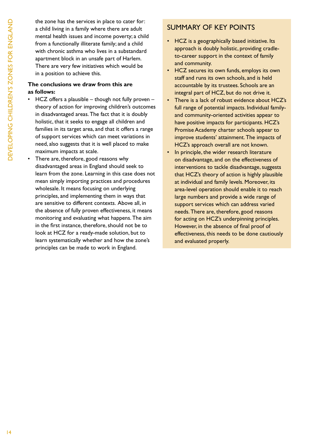the zone has the services in place to cater for: a child living in a family where there are adult mental health issues and income poverty; a child from a functionally illiterate family; and a child with chronic asthma who lives in a substandard apartment block in an unsafe part of Harlem. There are very few initiatives which would be in a position to achieve this.

### **The conclusions we draw from this are as follows:**

- HCZ offers a plausible though not fully proven theory of action for improving children's outcomes in disadvantaged areas. The fact that it is doubly holistic, that it seeks to engage all children and families in its target area, and that it offers a range of support services which can meet variations in need, also suggests that it is well placed to make maximum impacts at scale.
- There are, therefore, good reasons why disadvantaged areas in England should seek to learn from the zone. Learning in this case does not mean simply importing practices and procedures wholesale. it means focusing on underlying principles, and implementing them in ways that are sensitive to different contexts. Above all, in the absence of fully proven effectiveness, it means monitoring and evaluating what happens. The aim in the first instance, therefore, should not be to look at hCZ for a ready-made solution, but to learn systematically whether and how the zone's principles can be made to work in England.

## suMMAry of Key points

- HCZ is a geographically based initiative. Its approach is doubly holistic, providing cradleto-career support in the context of family and community.
- HCZ secures its own funds, employs its own staff and runs its own schools, and is held accountable by its trustees. Schools are an integral part of hCZ, but do not drive it.
- There is a lack of robust evidence about HCZ's full range of potential impacts. Individual familyand community-oriented activities appear to have positive impacts for participants. HCZ's promise Academy charter schools appear to improve students' attainment. The impacts of hCZ's approach overall are not known.
- In principle, the wider research literature on disadvantage, and on the effectiveness of interventions to tackle disadvantage, suggests that hCZ's theory of action is highly plausible at individual and family levels. Moreover, its area-level operation should enable it to reach large numbers and provide a wide range of support services which can address varied needs. There are, therefore, good reasons for acting on HCZ's underpinning principles. However, in the absence of final proof of effectiveness, this needs to be done cautiously and evaluated properly.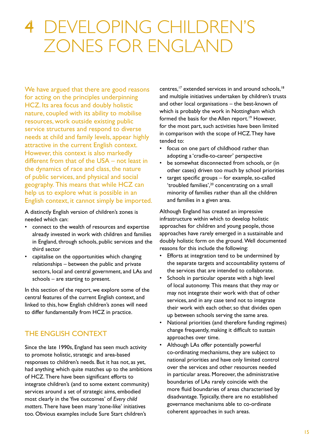## 4 developing children's Zones for england

We have argued that there are good reasons for acting on the principles underpinning hCZ. its area focus and doubly holistic nature, coupled with its ability to mobilise resources, work outside existing public service structures and respond to diverse needs at child and family levels, appear highly attractive in the current English context. however, this context is also markedly different from that of the  $USA - not least in$ the dynamics of race and class, the nature of public services, and physical and social geography. This means that while HCZ can help us to explore what is possible in an English context, it cannot simply be imported.

A distinctly English version of children's zones is needed which can:

- connect to the wealth of resources and expertise already invested in work with children and families in England, through schools, public services and the third sector
- capitalise on the opportunities which changing relationships – between the public and private sectors, local and central government, and LAs and schools – are starting to present.

In this section of the report, we explore some of the central features of the current English context, and linked to this, how English children's zones will need to differ fundamentally from hCZ in practice.

## the english Context

Since the late 1990s, England has seen much activity to promote holistic, strategic and area-based responses to children's needs. But it has not, as yet, had anything which quite matches up to the ambitions of HCZ. There have been significant efforts to integrate children's (and to some extent community) services around a set of strategic aims, embodied most clearly in the 'five outcomes' of *Every child*  matters. There have been many 'zone-like' initiatives too. Obvious examples include Sure Start children's

centres,<sup>17</sup> extended services in and around schools,<sup>18</sup> and multiple initiatives undertaken by children's trusts and other local organisations – the best-known of which is probably the work in Nottingham which formed the basis for the Allen report.<sup>19</sup> However, for the most part, such activities have been limited in comparison with the scope of HCZ. They have tended to:

- focus on one part of childhood rather than adopting a 'cradle-to-career' perspective
- be somewhat disconnected from schools, or (in other cases) driven too much by school priorities
- $target$  specific groups  $-$  for example, so-called 'troubled families',<sup>20</sup> concentrating on a small minority of families rather than all the children and families in a given area.

Although England has created an impressive infrastructure within which to develop holistic approaches for children and young people, those approaches have rarely emerged in a sustainable and doubly holistic form on the ground. Well documented reasons for this include the following:

- Efforts at integration tend to be undermined by the separate targets and accountability systems of the services that are intended to collaborate.
- Schools in particular operate with a high level of local autonomy. This means that they may or may not integrate their work with that of other services, and in any case tend not to integrate their work with each other, so that divides open up between schools serving the same area.
- National priorities (and therefore funding regimes) change frequently, making it difficult to sustain approaches over time.
- Although LAs offer potentially powerful co-ordinating mechanisms, they are subject to national priorities and have only limited control over the services and other resources needed in particular areas. Moreover, the administrative boundaries of lAs rarely coincide with the more fluid boundaries of areas characterised by disadvantage. Typically, there are no established governance mechanisms able to co-ordinate coherent approaches in such areas.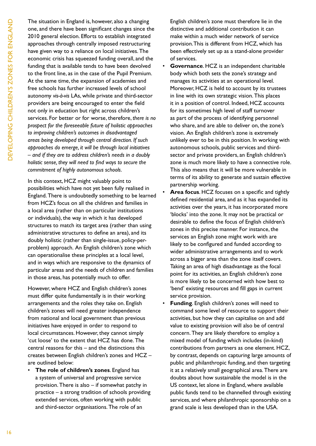The situation in England is, however, also a changing one, and there have been significant changes since the 2010 general election. Efforts to establish integrated approaches through centrally imposed restructuring have given way to a reliance on local initiatives. The economic crisis has squeezed funding overall, and the funding that is available tends to have been devolved to the front line, as in the case of the Pupil Premium. At the same time, the expansion of academies and free schools has further increased levels of school autonomy *vis-à-vis* lAs, while private and third-sector providers are being encouraged to enter the field not only in education but right across children's services. for better or for worse, therefore, *there is no prospect for the foreseeable future of holistic approaches to improving children's outcomes in disadvantaged areas being developed through central direction. If such approaches do emerge, it will be through local initiatives – and if they are to address children's needs in a doubly holistic sense, they will need to find ways to secure the commitment of highly autonomous schools*.

In this context, HCZ might valuably point to possibilities which have not yet been fully realised in England. There is undoubtedly something to be learned from hCZ's focus on all the children and families in a local area (rather than on particular institutions or individuals), the way in which it has developed structures to match its target area (rather than using administrative structures to define an area), and its doubly holistic (rather than single-issue, policy-perproblem) approach. An English children's zone which can operationalise these principles at a local level, and in ways which are responsive to the dynamics of particular areas and the needs of children and families in those areas, has potentially much to offer.

However, where HCZ and English children's zones must differ quite fundamentally is in their working arrangements and the roles they take on. English children's zones will need greater independence from national and local government than previous initiatives have enjoyed in order to respond to local circumstances. However, they cannot simply 'cut loose' to the extent that HCZ has done. The central reasons for this – and the distinctions this creates between English children's zones and HCZ are outlined below:

**The role of children's zones.** England has a system of universal and progressive service provision. There is also  $-$  if somewhat patchy in practice – a strong tradition of schools providing extended services, often working with public and third-sector organisations. The role of an

English children's zone must therefore lie in the distinctive and additional contribution it can make within a much wider network of service provision. This is different from HCZ, which has been effectively set up as a stand-alone provider of services.

- **Governance.** HCZ is an independent charitable body which both sets the zone's strategy and manages its activities at an operational level. Moreover, hCZ is held to account by its trustees in line with its own strategic vision. This places it in a position of control. Indeed, HCZ accounts for its sometimes high level of staff turnover as part of the process of identifying personnel who share, and are able to deliver on, the zone's vision. An English children's zone is extremely unlikely ever to be in this position. In working with autonomous schools, public services and thirdsector and private providers, an English children's zone is much more likely to have a connective role. This also means that it will be more vulnerable in terms of its ability to generate and sustain effective partnership working.
- Area focus. HCZ focuses on a specific and tightly defined residential area, and as it has expanded its activities over the years, it has incorporated more 'blocks' into the zone. It may not be practical or desirable to define the focus of English children's zones in this precise manner. for instance, the services an English zone might work with are likely to be configured and funded according to wider administrative arrangements and to work across a bigger area than the zone itself covers. Taking an area of high disadvantage as the focal point for its activities, an English children's zone is more likely to be concerned with how best to 'bend' existing resources and fill gaps in current service provision.
- **Funding**. English children's zones will need to command some level of resource to support their activities, but how they can capitalise on and add value to existing provision will also be of central concern. They are likely therefore to employ a mixed model of funding which includes (in-kind) contributions from partners as one element. hCZ, by contrast, depends on capturing large amounts of public and philanthropic funding, and then targeting it at a relatively small geographical area. There are doubts about how sustainable the model is in the US context, let alone in England, where available public funds tend to be channelled through existing services, and where philanthropic sponsorship on a grand scale is less developed than in the USA.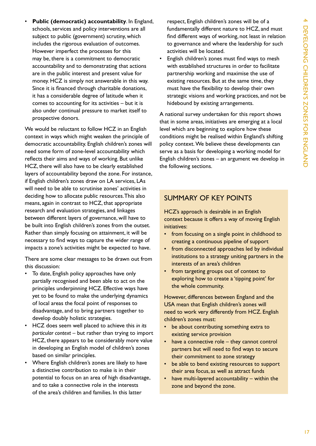**Public (democratic) accountability.** In England, schools, services and policy interventions are all subject to public (government) scrutiny, which includes the rigorous evaluation of outcomes. however imperfect the processes for this may be, there is a commitment to democratic accountability and to demonstrating that actions are in the public interest and present value for money. HCZ is simply not answerable in this way. since it is financed through charitable donations, it has a considerable degree of latitude when it comes to accounting for its activities – but it is also under continual pressure to market itself to prospective donors.

We would be reluctant to follow HCZ in an English context in ways which might weaken the principle of democratic accountability. English children's zones will need some form of zone-level accountability which reflects their aims and ways of working. But unlike hCZ, there will also have to be clearly established layers of accountability beyond the zone. for instance, if English children's zones draw on LA services, LAs will need to be able to scrutinise zones' activities in deciding how to allocate public resources. This also means, again in contrast to hCZ, that appropriate research and evaluation strategies, and linkages between different layers of governance, will have to be built into English children's zones from the outset. Rather than simply focusing on attainment, it will be necessary to find ways to capture the wider range of impacts a zone's activities might be expected to have.

There are some clear messages to be drawn out from this discussion:

- To date, English policy approaches have only partially recognised and been able to act on the principles underpinning HCZ. Effective ways have yet to be found to make the underlying dynamics of local areas the focal point of responses to disadvantage, and to bring partners together to develop doubly holistic strategies.
- HCZ does seem well placed to achieve this *in its particular context* – but rather than trying to import hCZ, there appears to be considerably more value in developing an English model of children's zones based on similar principles.
- Where English children's zones are likely to have a distinctive contribution to make is in their potential to focus on an area of high disadvantage, and to take a connective role in the interests of the area's children and families. in this latter

respect, English children's zones will be of a fundamentally different nature to HCZ, and must find different ways of working, not least in relation to governance and where the leadership for such activities will be located.

English children's zones must find ways to mesh with established structures in order to facilitate partnership working and maximise the use of existing resources. But at the same time, they must have the flexibility to develop their own strategic visions and working practices, and not be hidebound by existing arrangements.

A national survey undertaken for this report shows that in some areas, initiatives are emerging at a local level which are beginning to explore how these conditions might be realised within England's shifting policy context. We believe these developments can serve as a basis for developing a working model for English children's zones  $-$  an argument we develop in the following sections.

## suMMAry of Key points

HCZ's approach is desirable in an English context because it offers a way of moving English initiatives:

- from focusing on a single point in childhood to creating a continuous pipeline of support
- from disconnected approaches led by individual institutions to a strategy uniting partners in the interests of an area's children
- • from targeting groups out of context to exploring how to create a 'tipping point' for the whole community.

However, differences between England and the USA mean that English children's zones will need to work very differently from HCZ. English children's zones must:

- be about contributing something extra to existing service provision
- have a connective role  $-$  they cannot control partners but will need to find ways to secure their commitment to zone strategy
- be able to bend existing resources to support their area focus, as well as attract funds
- have multi-layered accountability within the zone and beyond the zone.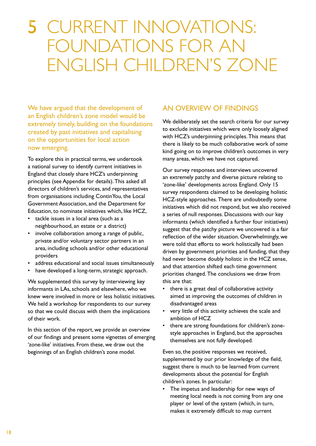## 5 current innovations: foundations for an english children's Zone

We have argued that the development of an English children's zone model would be extremely timely, building on the foundations created by past initiatives and capitalising on the opportunities for local action now emerging.

To explore this in practical terms, we undertook a national survey to identify current initiatives in England that closely share HCZ's underpinning principles (see Appendix for details). This asked all directors of children's services, and representatives from organisations including ContinYou, the Local government Association, and the Department for Education, to nominate initiatives which, like HCZ,

- tackle issues in a local area (such as a neighbourhood, an estate or a district)
- • involve collaboration among a range of public, private and/or voluntary sector partners in an area, including schools and/or other educational providers
- address educational and social issues simultaneously
- have developed a long-term, strategic approach.

We supplemented this survey by interviewing key informants in lAs, schools and elsewhere, who we knew were involved in more or less holistic initiatives. We held a workshop for respondents to our survey so that we could discuss with them the implications of their work.

In this section of the report, we provide an overview of our findings and present some vignettes of emerging 'zone-like' initiatives. from these, we draw out the beginnings of an English children's zone model.

## An overvieW of finDings

We deliberately set the search criteria for our survey to exclude initiatives which were only loosely aligned with HCZ's underpinning principles. This means that there is likely to be much collaborative work of *some* kind going on to improve children's outcomes in very many areas, which we have not captured.

Our survey responses and interviews uncovered an extremely patchy and diverse picture relating to 'zone-like' developments across England. Only 15 survey respondents claimed to be developing holistic HCZ-style approaches. There are undoubtedly some initiatives which did not respond, but we also received a series of null responses. Discussions with our key informants (which identified a further four initiatives) suggest that the patchy picture we uncovered is a fair reflection of the wider situation. Overwhelmingly, we were told that efforts to work holistically had been driven by government priorities and funding, that they had never become doubly holistic in the hCZ sense, and that attention shifted each time government priorities changed. The conclusions we draw from this are that:

- there is a great deal of collaborative activity aimed at improving the outcomes of children in disadvantaged areas
- • very little of this activity achieves the scale and ambition of hCZ
- there are strong foundations for children's zonestyle approaches in England, but the approaches themselves are not fully developed.

Even so, the positive responses we received, supplemented by our prior knowledge of the field, suggest there is much to be learned from current developments about the potential for English children's zones. in particular:

The impetus and leadership for new ways of meeting local needs is not coming from any one player or level of the system (which, in turn, makes it extremely difficult to map current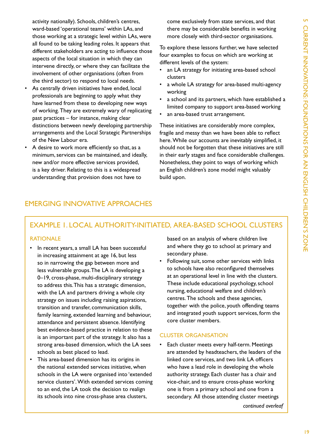activity nationally). Schools, children's centres, ward-based 'operational teams' within lAs, and those working at a strategic level within lAs, were all found to be taking leading roles. it appears that different stakeholders are acting to influence those aspects of the local situation in which they can intervene directly, or where they can facilitate the involvement of other organisations (often from the third sector) to respond to local needs.

- As centrally driven initiatives have ended, local professionals are beginning to apply what they have learned from these to developing new ways of working. They are extremely wary of replicating past practices – for instance, making clear distinctions between newly developing partnership arrangements and the Local Strategic Partnerships of the New Labour era.
- A desire to work more efficiently so that, as a minimum, services can be maintained, and ideally, new and/or more effective services provided, is a key driver. Relating to this is a widespread understanding that provision does not have to

come exclusively from state services, and that there may be considerable benefits in working more closely with third-sector organisations.

To explore these lessons further, we have selected four examples to focus on which are working at different levels of the system:

- an LA strategy for initiating area-based school clusters
- a whole LA strategy for area-based multi-agency working
- a school and its partners, which have established a limited company to support area-based working
- an area-based trust arrangement.

These initiatives are considerably more complex, fragile and messy than we have been able to reflect here. While our accounts are inevitably simplified, it should not be forgotten that these initiatives are still in their early stages and face considerable challenges. Nonetheless, they point to ways of working which an English children's zone model might valuably build upon.

## eMerging innovAtive ApproAChes

## exAMple 1. loCAl Authority-initiAteD, AreA-BAseD sChool Clusters

#### **RATIONALE**

- In recent years, a small LA has been successful in increasing attainment at age 16, but less so in narrowing the gap between more and less vulnerable groups. The LA is developing a 0–19, cross-phase, multi-disciplinary strategy to address this. This has a strategic dimension, with the LA and partners driving a whole city strategy on issues including raising aspirations, transition and transfer, communication skills, family learning, extended learning and behaviour, attendance and persistent absence. Identifying best evidence-based practice in relation to these is an important part of the strategy. it also has a strong area-based dimension, which the lA sees schools as best placed to lead.
- • This area-based dimension has its origins in the national extended services initiative, when schools in the lA were organised into 'extended service clusters'. With extended services coming to an end, the lA took the decision to realign its schools into nine cross-phase area clusters,

based on an analysis of where children live and where they go to school at primary and secondary phase.

Following suit, some other services with links to schools have also reconfigured themselves at an operational level in line with the clusters. These include educational psychology, school nursing, educational welfare and children's centres. The schools and these agencies, together with the police, youth offending teams and integrated youth support services, form the core cluster members.

#### CLUSTER ORGANISATION

Each cluster meets every half-term. Meetings are attended by headteachers, the leaders of the linked core services, and two link lA officers who have a lead role in developing the whole authority strategy. Each cluster has a chair and vice-chair, and to ensure cross-phase working one is from a primary school and one from a secondary. All those attending cluster meetings

*continued overleaf*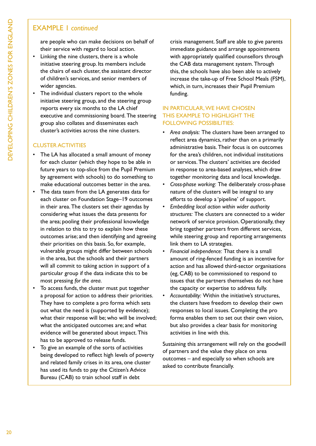## exAMple 1 *continued*

are people who can make decisions on behalf of their service with regard to local action.

- Linking the nine clusters, there is a whole initiative steering group. Its members include the chairs of each cluster, the assistant director of children's services, and senior members of wider agencies.
- The individual clusters report to the whole initiative steering group, and the steering group reports every six months to the lA chief executive and commissioning board. The steering group also collates and disseminates each cluster's activities across the nine clusters.

## **CLUSTER ACTIVITIES**

- The LA has allocated a small amount of money for each cluster (which they hope to be able in future years to top-slice from the Pupil Premium by agreement with schools) to do something to make educational outcomes better in the area.
- The data team from the LA generates data for each cluster on Foundation Stage-19 outcomes in their area. The clusters set their agendas by considering what issues the data presents for the area; pooling their professional knowledge in relation to this to try to explain how these outcomes arise; and then identifying and agreeing their priorities on this basis. So, for example, vulnerable groups might differ between schools in the area, but the schools and their partners will all commit to taking action in support of a particular group if the data indicate this to be most pressing *for the area*.
- • To access funds, the cluster must put together a proposal for action to address their priorities. They have to complete a pro forma which sets out what the need is (supported by evidence); what their response will be; who will be involved; what the anticipated outcomes are; and what evidence will be generated about impact. This has to be approved to release funds.
- • To give an example of the sorts of activities being developed to reflect high levels of poverty and related family crises in its area, one cluster has used its funds to pay the Citizen's Advice Bureau (CAB) to train school staff in debt

crisis management. Staff are able to give parents immediate guidance and arrange appointments with appropriately qualified counsellors through the CAB data management system. Through this, the schools have also been able to actively increase the take-up of free school Meals (fsM), which, in turn, increases their Pupil Premium funding.

### in pArtiCulAr, We hAve Chosen THIS EXAMPLE TO HIGHLIGHT THE FOLLOWING POSSIBILITIES:

- Area analysis: The clusters have been arranged to reflect area dynamics, rather than on a primarily administrative basis. Their focus is on outcomes for the area's children, not individual institutions or services. The clusters' activities are decided in response to area-based analyses, which draw together monitoring data and local knowledge.
- Cross-phase working: The deliberately cross-phase nature of the clusters will be integral to any efforts to develop a 'pipeline' of support.
- *Embedding local action within wider authority* structures: The clusters are connected to a wider network of service provision. Operationally, they bring together partners from different services, while steering group and reporting arrangements link them to lA strategies.
- Financial independence: That there is a small amount of ring-fenced funding is an incentive for action and has allowed third-sector organisations (eg, CAB) to be commissioned to respond to issues that the partners themselves do not have the capacity or expertise to address fully.
- Accountability: Within the initiative's structures, the clusters have freedom to develop their own responses to local issues. Completing the pro forma enables them to set out their own vision, but also provides a clear basis for monitoring activities in line with this.

Sustaining this arrangement will rely on the goodwill of partners and the value they place on area outcomes – and especially so when schools are asked to contribute financially.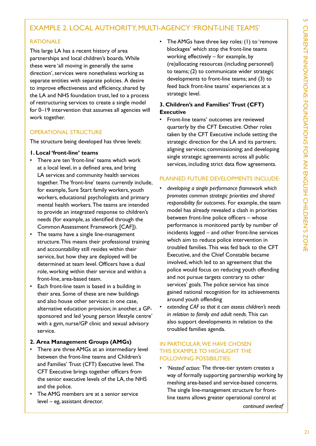## exAMple 2. loCAl Authority, Multi-AgenCy 'front-line teAMs'

#### **RATIONALE**

This large LA has a recent history of area partnerships and local children's boards. While these were 'all moving in generally the same direction', services were nonetheless working as separate entities with separate policies. A desire to improve effectiveness and efficiency, shared by the LA and NHS foundation trust, led to a process of restructuring services to create a single model for 0–19 intervention that assumes all agencies will work together.

#### operAtionAl struCture

The structure being developed has three levels:

#### **1. Local 'front-line' teams**

- • There are ten 'front-line' teams which work at a local level, in a defined area, and bring LA services and community health services together. The 'front-line' teams currently include, for example, Sure Start family workers, youth workers, educational psychologists and primary mental health workers. The teams are intended to provide an integrated response to children's needs (for example, as identified through the Common Assessment framework [CAf]).
- The teams have a single line-management structure. This means their professional training and accountability still resides within their service, but how they are deployed will be determined at team level. Officers have a dual role, working within their service and within a front-line, area-based team.
- • Each front-line team is based in a building in their area. some of these are new buildings and also house other services: in one case, alternative education provision; in another, a GPsponsored and led 'young person lifestyle centre' with a gym, nurse/GP clinic and sexual advisory service.

#### **2. Area Management Groups (AMGs)**

- There are three AMGs at an intermediary level between the front-line teams and Children's and Families' Trust (CFT) Executive level. The CFT Executive brings together officers from the senior executive levels of the LA, the NHS and the police.
- The AMG members are at a senior service level – eg, assistant director.

The AMGs have three key roles:  $(1)$  to 'remove blockages' which stop the front-line teams working effectively – for example, by (re)allocating resources (including personnel) to teams; (2) to communicate wider strategic developments to front-line teams; and (3) to feed back front-line teams' experiences at a strategic level.

### **3. Children's and Families' Trust (CFT) Executive**

Front-line teams' outcomes are reviewed quarterly by the CFT Executive. Other roles taken by the CFT Executive include setting the strategic direction for the lA and its partners; aligning services; commissioning; and developing single strategic agreements across all public services, including strict data flow agreements.

#### plAnneD future DevelopMents inCluDe:

- • *developing a single performance framework which promotes common strategic priorities and shared responsibility for outcomes.* for example, the team model has already revealed a clash in priorities between front-line police officers – whose performance is monitored partly by number of incidents logged – and other front-line services which aim to reduce police intervention in troubled families. This was fed back to the CFT Executive, and the Chief Constable became involved, which led to an agreement that the police would focus on reducing youth offending and not pursue targets contrary to other services' goals. The police service has since gained national recognition for its achievements around youth offending
- extending CAF so that it can assess children's needs *in relation to family and adult needs. This can* also support developments in relation to the troubled families agenda.

### in pArtiCulAr, We hAve Chosen this exAMple to highlight the FOLLOWING POSSIBILITIES:

'Nested' action: The three-tier system creates a way of formally supporting partnership working by meshing area-based and service-based concerns. The single line-management structure for frontline teams allows greater operational control at

*continued overleaf*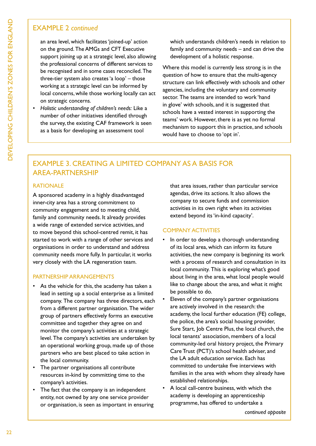## exAMple 2 *continued*

an area level, which facilitates 'joined-up' action on the ground. The AMGs and CFT Executive support joining up at a strategic level, also allowing the professional concerns of different services to be recognised and in some cases reconciled. The three-tier system also creates 'a loop' – those working at a strategic level can be informed by local concerns, while those working locally can act on strategic concerns.

*Holistic understanding of children's needs: Like a* number of other initiatives identified through the survey, the existing CAf framework is seen as a basis for developing an assessment tool

which understands children's needs in relation to family and community needs – and can drive the development of a holistic response.

Where this model is currently less strong is in the question of how to ensure that the multi-agency structure can link effectively with schools and other agencies, including the voluntary and community sector. The teams are intended to work 'hand in glove' with schools, and it is suggested that schools have a vested interest in supporting the teams' work. However, there is as yet no formal mechanism to support this in practice, and schools would have to choose to 'opt in'.

## exAMple 3. CreAting A liMiteD CoMpAny As A BAsis for AreA-pArtnership

### **RATIONALE**

A sponsored academy in a highly disadvantaged inner-city area has a strong commitment to community engagement and to meeting child, family and community needs. It already provides a wide range of extended service activities, and to move beyond this school-centred remit, it has started to work with a range of other services and organisations in order to understand and address community needs more fully. in particular, it works very closely with the lA regeneration team.

#### pArtnership ArrAngeMents

- As the vehicle for this, the academy has taken a lead in setting up a social enterprise as a limited company. The company has three directors, each from a different partner organisation. The wider group of partners effectively forms an executive committee and together they agree on and monitor the company's activities at a strategic level. The company's activities are undertaken by an operational working group, made up of those partners who are best placed to take action in the local community.
- • The partner organisations all contribute resources in-kind by committing time to the company's activities.
- The fact that the company is an independent entity, not owned by any one service provider or organisation, is seen as important in ensuring

that area issues, rather than particular service agendas, drive its actions. it also allows the company to secure funds and commission activities in its own right when its activities extend beyond its 'in-kind capacity'.

#### **COMPANY ACTIVITIES**

- In order to develop a thorough understanding of its local area, which can inform its future activities, the new company is beginning its work with a process of research and consultation in its local community. This is exploring what's good about living in the area, what local people would like to change about the area, and what it might be possible to do.
- Eleven of the company's partner organisations are actively involved in the research: the academy, the local further education (FE) college, the police, the area's social housing provider, Sure Start, Job Centre Plus, the local church, the local tenants' association, members of a local community-led oral history project, the Primary Care Trust (PCT)'s school health adviser, and the LA adult education service. Each has committed to undertake five interviews with families in the area with whom they already have established relationships.
- A local call-centre business, with which the academy is developing an apprenticeship programme, has offered to undertake a

*continued opposite*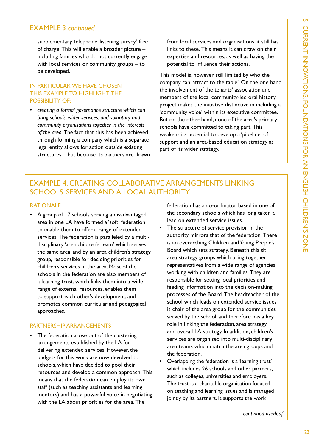## exAMple 3 *continued*

supplementary telephone 'listening survey' free of charge. This will enable a broader picture  $$ including families who do not currently engage with local services or community groups – to be developed.

### in pArtiCulAr, We hAve Chosen THIS EXAMPLE TO HIGHLIGHT THE POSSIBILITY OF:

• *creating a formal governance structure which can bring schools, wider services, and voluntary and community organisations together in the interests*  of the *area*. The fact that this has been achieved through forming a company which is a separate legal entity allows for action outside existing structures – but because its partners are drawn from local services and organisations, it still has links to these. This means it can draw on their expertise and resources, as well as having the potential to influence their actions.

This model is, however, still limited by who the company can 'attract to the table'. On the one hand, the involvement of the tenants' association and members of the local community-led oral history project makes the initiative distinctive in including a 'community voice' within its executive committee. But on the other hand, none of the area's primary schools have committed to taking part. This weakens its potential to develop a 'pipeline' of support and an area-based education strategy as part of its wider strategy.

## exAMple 4. CreAting CollABorAtive ArrAngeMents linKing SCHOOLS, SERVICES AND A LOCAL AUTHORITY

#### **RATIONALE**

• A group of 17 schools serving a disadvantaged area in one lA have formed a 'soft' federation to enable them to offer a range of extended services. The federation is paralleled by a multidisciplinary 'area children's team' which serves the same area, and by an area children's strategy group, responsible for deciding priorities for children's services in the area. Most of the schools in the federation are also members of a learning trust, which links them into a wide range of external resources, enables them to support each other's development, and promotes common curricular and pedagogical approaches.

#### pArtnership ArrAngeMents

• The federation arose out of the clustering arrangements established by the lA for delivering extended services. However, the budgets for this work are now devolved to schools, which have decided to pool their resources and develop a common approach. This means that the federation can employ its own staff (such as teaching assistants and learning mentors) and has a powerful voice in negotiating with the LA about priorities for the area. The

federation has a co-ordinator based in one of the secondary schools which has long taken a lead on extended service issues.

- The structure of service provision in the authority mirrors that of the federation. There is an overarching Children and Young People's Board which sets strategy. Beneath this sit area strategy groups which bring together representatives from a wide range of agencies working with children and families. They are responsible for setting local priorities and feeding information into the decision-making processes of the Board. The headteacher of the school which leads on extended service issues is chair of the area group for the communities served by the school, and therefore has a key role in linking the federation, area strategy and overall LA strategy. In addition, children's services are organised into multi-disciplinary area teams which match the area groups and the federation.
- Overlapping the federation is a 'learning trust' which includes 26 schools and other partners, such as colleges, universities and employers. The trust is a charitable organisation focused on teaching and learning issues and is managed jointly by its partners. It supports the work

*continued overleaf*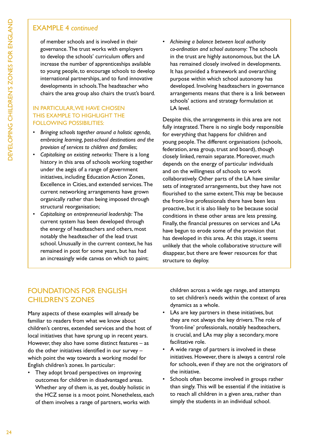## exAMple 4 *continued*

of member schools and is involved in their governance. The trust works with employers to develop the schools' curriculum offers and increase the number of apprenticeships available to young people, to encourage schools to develop international partnerships, and to fund innovative developments in schools. The headteacher who chairs the area group also chairs the trust's board.

### in pArtiCulAr, We hAve Chosen THIS EXAMPLE TO HIGHLIGHT THE FOLLOWING POSSIBILITIES:

- Bringing schools together around a holistic agenda, *embracing learning, post-school destinations and the provision of services to children and families*;
- Capitalising on existing networks: There is a long history in this area of schools working together under the aegis of a range of government initiatives, including Education Action Zones, Excellence in Cities, and extended services. The current networking arrangements have grown organically rather than being imposed through structural reorganisation;
- *Capitalising on entrepreneurial leadership: The* current system has been developed through the energy of headteachers and others, most notably the headteacher of the lead trust school. Unusually in the current context, he has remained in post for some years, but has had an increasingly wide canvas on which to paint;

Achieving a balance between local authority *co-ordination and school autonomy:* the schools in the trust are highly autonomous, but the lA has remained closely involved in developments. it has provided a framework and overarching purpose within which school autonomy has developed. involving headteachers in governance arrangements means that there is a link between schools' actions and strategy formulation at LA level.

Despite this, the arrangements in this area are not fully integrated. There is no single body responsible for everything that happens for children and young people. The different organisations (schools, federation, area group, trust and board), though closely linked, remain separate. Moreover, much depends on the energy of particular individuals and on the willingness of schools to work collaboratively. Other parts of the LA have similar sets of integrated arrangements, but they have not flourished to the same extent. This may be because the front-line professionals there have been less proactive, but it is also likely to be because social conditions in these other areas are less pressing. finally, the financial pressures on services and lAs have begun to erode some of the provision that has developed in this area. At this stage, it seems unlikely that the whole collaborative structure will disappear, but there are fewer resources for that structure to deploy.

## **FOUNDATIONS FOR ENGLISH** ChilDren's Zones

Many aspects of these examples will already be familiar to readers from what we know about children's centres, extended services and the host of local initiatives that have sprung up in recent years. However, they also have some distinct features  $-$  as do the other initiatives identified in our survey – which point the way towards a working model for English children's zones. In particular:

• They adopt broad perspectives on improving outcomes for children in disadvantaged areas. Whether any of them is, as yet, doubly holistic in the HCZ sense is a moot point. Nonetheless, each of them involves a range of partners, works with

children across a wide age range, and attempts to set children's needs within the context of area dynamics as a whole.

- LAs are key partners in these initiatives, but they are not always the key drivers. The role of 'front-line' professionals, notably headteachers, is crucial, and LAs may play a secondary, more facilitative role.
- A wide range of partners is involved in these initiatives. However, there is always a central role for schools, even if they are not the originators of the initiative.
- Schools often become involved in groups rather than singly. This will be essential if the initiative is to reach all children in a given area, rather than simply the students in an individual school.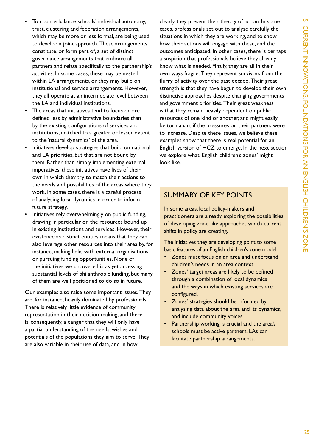- To counterbalance schools' individual autonomy, trust, clustering and federation arrangements, which may be more or less formal, are being used to develop a joint approach. These arrangements constitute, or form part of, a set of distinct governance arrangements that embrace all partners and relate specifically to the partnership's activities. in some cases, these may be nested within lA arrangements, or they may build on institutional and service arrangements. however, they all operate at an intermediate level between the lA and individual institutions.
- The areas that initiatives tend to focus on are defined less by administrative boundaries than by the existing configurations of services and institutions, matched to a greater or lesser extent to the 'natural dynamics' of the area.
- Initiatives develop strategies that build on national and LA priorities, but that are not bound by them. Rather than simply implementing external imperatives, these initiatives have lives of their own in which they try to match their actions to the needs and possibilities of the areas where they work. in some cases, there is a careful process of analysing local dynamics in order to inform future strategy.
- Initiatives rely overwhelmingly on public funding, drawing in particular on the resources bound up in existing institutions and services. However, their existence as distinct entities means that they can also leverage other resources into their area by, for instance, making links with external organisations or pursuing funding opportunities. None of the initiatives we uncovered is as yet accessing substantial levels of philanthropic funding, but many of them are well positioned to do so in future.

Our examples also raise some important issues. They are, for instance, heavily dominated by professionals. There is relatively little evidence of community representation in their decision-making, and there is, consequently, a danger that they will only have a partial understanding of the needs, wishes and potentials of the populations they aim to serve. They are also variable in their use of data, and in how

clearly they present their theory of action. in some cases, professionals set out to analyse carefully the situations in which they are working, and to show how their actions will engage with these, and the outcomes anticipated. in other cases, there is perhaps a suspicion that professionals believe they already know what is needed. finally, they are all in their own ways fragile. They represent survivors from the flurry of activity over the past decade. Their great strength is that they have begun to develop their own distinctive approaches despite changing governments and government priorities. Their great weakness is that they remain heavily dependent on public resources of one kind or another, and might easily be torn apart if the pressures on their partners were to increase. Despite these issues, we believe these examples show that there is real potential for an English version of HCZ to emerge. In the next section we explore what 'English children's zones' might look like.

## suMMAry of Key points

In some areas, local policy-makers and practitioners are already exploring the possibilities of developing zone-like approaches which current shifts in policy are creating.

The initiatives they are developing point to some basic features of an English children's zone model:

- • Zones must focus on an area and understand children's needs in an area context.
- • Zones' target areas are likely to be defined through a combination of local dynamics and the ways in which existing services are configured.
- • Zones' strategies should be informed by analysing data about the area and its dynamics, and include community voices.
- Partnership working is crucial and the area's schools must be active partners. LAs can facilitate partnership arrangements.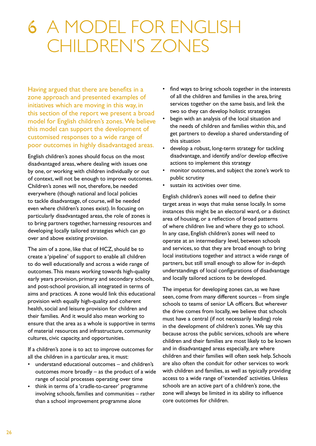## 6 a model for english children's Zones

having argued that there are benefits in a zone approach and presented examples of initiatives which are moving in this way, in this section of the report we present a broad model for English children's zones. We believe this model can support the development of customised responses to a wide range of poor outcomes in highly disadvantaged areas.

English children's zones should focus on the most disadvantaged areas, where dealing with issues one by one, or working with children individually or out of context, will not be enough to improve outcomes. Children's zones will not, therefore, be needed everywhere (though national and local policies to tackle disadvantage, of course, *will* be needed even where children's zones exist). in focusing on particularly disadvantaged areas, the role of zones is to bring partners together, harnessing resources and developing locally tailored strategies which can go over and above existing provision.

The aim of a zone, like that of HCZ, should be to create a 'pipeline' of support to enable all children to do well educationally and across a wide range of outcomes. This means working towards high-quality early years provision, primary and secondary schools, and post-school provision, all integrated in terms of aims and practices. A zone would link this educational provision with equally high-quality and coherent health, social and leisure provision for children and their families. And it would also mean working to ensure that the area as a whole is supportive in terms of material resources and infrastructure, community cultures, civic capacity, and opportunities.

If a children's zone is to act to improve outcomes for all the children in a particular area, it must:

- understand educational outcomes and children's outcomes more broadly – as the product of a wide range of social processes operating over time
- think in terms of a 'cradle-to-career' programme involving schools, families and communities – rather than a school improvement programme alone
- find ways to bring schools together in the interests of all the children and families in the area, bring services together on the same basis, and link the two so they can develop holistic strategies
- begin with an analysis of the local situation and the needs of children and families within this, and get partners to develop a shared understanding of this situation
- develop a robust, long-term strategy for tackling disadvantage, and identify and/or develop effective actions to implement this strategy
- monitor outcomes, and subject the zone's work to public scrutiny
- sustain its activities over time.

English children's zones will need to define their target areas in ways that make sense locally. in some instances this might be an electoral ward, or a distinct area of housing, or a reflection of broad patterns of where children live and where they go to school. In any case, English children's zones will need to operate at an intermediary level, between schools and services, so that they are broad enough to bring local institutions together and attract a wide range of partners, but still small enough to allow for in-depth understandings of local configurations of disadvantage and locally tailored actions to be developed.

The impetus for developing zones can, as we have seen, come from many different sources – from single schools to teams of senior lA officers. But wherever the drive comes from locally, we believe that schools must have a central (if not necessarily leading) role in the development of children's zones. We say this because across the public services, schools are where children and their families are most likely to be known and in disadvantaged areas especially, are where children and their families will often seek help. Schools are also often the conduit for other services to work with children and families, as well as typically providing access to a wide range of 'extended' activities. Unless schools are an active part of a children's zone, the zone will always be limited in its ability to influence core outcomes for children.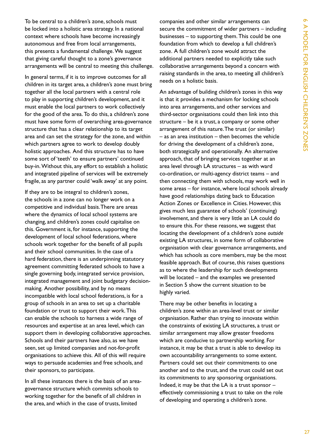To be central to a children's zone, schools must be locked into a holistic area strategy. in a national context where schools have become increasingly autonomous and free from local arrangements, this presents a fundamental challenge. We suggest that giving careful thought to a zone's governance arrangements will be central to meeting this challenge.

In general terms, if it is to improve outcomes for all children in its target area, a children's zone must bring together all the local partners with a central role to play in supporting children's development, and it must enable the local partners to work collectively for the good of the area. To do this, a children's zone must have some form of overarching area-governance structure that has a clear relationship to its target area and can set the strategy for the zone, and within which partners agree to work to develop doubly holistic approaches. And this structure has to have some sort of 'teeth' to ensure partners' continued buy-in. Without this, any effort to establish a holistic and integrated pipeline of services will be extremely fragile, as any partner could 'walk away' at any point.

If they are to be integral to children's zones, the schools in a zone can no longer work on a competitive and individual basis. There are areas where the dynamics of local school systems are changing, and children's zones could capitalise on this. Government is, for instance, supporting the development of local school federations, where schools work together for the benefit of all pupils and their school communities. In the case of a hard federation, there is an underpinning statutory agreement committing federated schools to have a single governing body, integrated service provision, integrated management and joint budgetary decisionmaking. Another possibility, and by no means incompatible with local school federations, is for a group of schools in an area to set up a charitable foundation or trust to support their work. This can enable the schools to harness a wide range of resources and expertise at an area level, which can support them in developing collaborative approaches. Schools and their partners have also, as we have seen, set up limited companies and not-for-profit organisations to achieve this. All of this will require ways to persuade academies and free schools, and their sponsors, to participate.

in all these instances there is the basis of an areagovernance structure which commits schools to working together for the benefit of all children in the area, and which in the case of trusts, limited

companies and other similar arrangements can secure the commitment of wider partners – including businesses  $-$  to supporting them. This could be one foundation from which to develop a full children's zone. A full children's zone would attract the additional partners needed to explicitly take such collaborative arrangements beyond a concern with raising standards in the area, to meeting all children's needs on a holistic basis.

An advantage of building children's zones in this way is that it provides a mechanism for locking schools into area arrangements, and other services and third-sector organisations could then link into this structure – be it a trust, a company or some other arrangement of this nature. The trust (or similar)  $-$  as an area institution  $-$  then becomes the vehicle for driving the development of a children's zone, both strategically and operationally. An alternative approach, that of bringing services together at an area level through LA structures  $-$  as with ward co-ordination, or multi-agency district teams – and then connecting them with schools, may work well in some areas – for instance, where local schools already have good relationships dating back to Education Action Zones or Excellence in Cities. However, this gives much less guarantee of schools' (continuing) involvement, and there is very little an lA could do to ensure this. for these reasons, we suggest that locating the development of a children's zone *outside* existing lA structures, in some form of collaborative organisation with clear governance arrangements, and which has schools as core members, may be the most feasible approach. But of course, this raises questions as to where the leadership for such developments will be located – and the examples we presented in Section 5 show the current situation to be highly varied.

There may be other benefits in locating a children's zone within an area-level trust or similar organisation. Rather than trying to innovate within the constraints of existing lA structures, a trust or similar arrangement may allow greater freedoms which are conducive to partnership working. for instance, it may be that a trust is able to develop its own accountability arrangements to some extent. partners could set out their commitments to one another and to the trust, and the trust could set out its commitments to any sponsoring organisations. Indeed, it may be that the LA is a trust sponsor  $$ effectively commissioning a trust to take on the role of developing and operating a children's zone.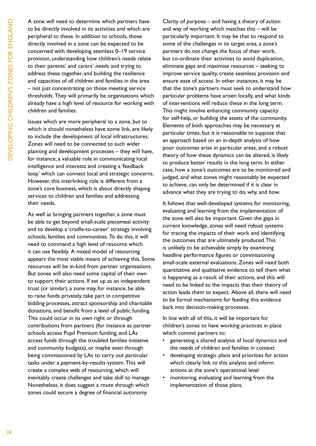A zone will need to determine which partners have to be directly involved in its activities and which are peripheral to these. in addition to schools, those directly involved in a zone can be expected to be concerned with developing seamless 0–19 service provision, understanding how children's needs relate to their parents' and carers' needs and trying to address these together, and building the resilience and capacities of *all* children and families in the area – not just concentrating on those meeting service thresholds. They will primarily be organisations which already have a high level of resource for working with children and families.

issues which are more peripheral to a zone, but to which it should nonetheless have some link, are likely to include the development of local infrastructures. Zones will need to be connected to such wider planning and development processes – they will have, for instance, a valuable role in communicating local intelligence and interests and creating a 'feedback loop' which can connect local and strategic concerns. however, this interlinking role is different from a zone's core business, which is about directly shaping services to children and families and addressing their needs.

As well as bringing partners together, a zone must be able to get beyond small-scale piecemeal activity and to develop a 'cradle-to-career' strategy involving schools, families and communities. To do this, it will need to command a high level of resource which it can use flexibly. A mixed model of resourcing appears the most viable means of achieving this. Some resources will be in-kind from partner organisations. But zones will also need some capital of their own to support their actions. if set up as an independent trust (or similar), a zone may, for instance, be able to raise funds privately, take part in competitive bidding processes, attract sponsorship and charitable donations, and benefit from a level of public funding. This could occur in its own right or through contributions from partners (for instance as partner schools access Pupil Premium funding, and LAs access funds through the troubled families initiative and community budgets), or maybe even through being commissioned by lAs to carry out particular tasks under a payment-by-results system. This will create a complex web of resourcing, which will inevitably create challenges and take skill to manage. Nonetheless, it does suggest a route through which zones could secure a degree of financial autonomy.

Clarity of purpose – and having a theory of action and way of working which matches this – will be particularly important. it may be that to respond to some of the challenges in its target area, a zone's partners do not change the focus of their work, but co-ordinate their activities to avoid duplication, eliminate gaps and maximise resources – seeking to improve service quality, create seamless provision and ensure ease of access. in other instances, it may be that the zone's partners must seek to understand how particular problems have arisen locally, and what kinds of interventions will reduce these in the long term. This might involve enhancing community capacity for self-help, or building the assets of the community. Elements of both approaches may be necessary at particular times, but it is reasonable to suppose that an approach based on an in-depth analysis of how poor outcomes arise in particular areas, and a robust theory of how these dynamics can be altered, is likely to produce better results in the long term. in either case, how a zone's outcomes are to be monitored and judged, and what zones might reasonably be expected to achieve, can only be determined if it is clear in advance what they are trying to do, why, and how.

It follows that well-developed systems for monitoring, evaluating and learning from the implementation of the zone will also be important. Given the gaps in current knowledge, zones will need robust systems for tracing the impacts of their work and identifying the outcomes that are ultimately produced. This is unlikely to be achievable simply by examining headline performance figures or commissioning small-scale external evaluations. Zones will need both quantitative and qualitative evidence to tell them what is happening as a result of their actions, and this will need to be linked to the impacts that their theory of action leads them to expect. Above all, there will need to be formal mechanisms for feeding this evidence back into decision-making processes.

In line with all of this, it will be important for children's zones to have working practices in place which commit partners to:

- generating a shared analysis of local dynamics and the needs of children and families in context
- developing strategic plans and priorities for action which clearly link to this analysis and inform actions at the zone's operational level
- • monitoring, evaluating and learning from the implementation of those plans.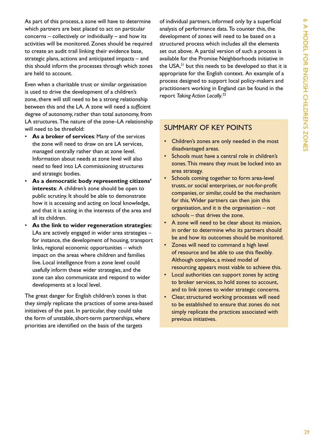As part of this process, a zone will have to determine which partners are best placed to act on particular concerns – collectively or individually – and how its activities will be monitored. Zones should be required to create an audit trail linking their evidence base, strategic plans, actions and anticipated impacts – and this should inform the processes through which zones are held to account.

Even when a charitable trust or similar organisation is used to drive the development of a children's zone, there will still need to be a strong relationship between this and the lA. A zone will need a *sufficient* degree of autonomy, rather than total autonomy, from LA structures. The nature of the zone–LA relationship will need to be threefold:

- As a broker of services: Many of the services the zone will need to draw on are lA services, managed centrally rather than at zone level. information about needs at zone level will also need to feed into lA commissioning structures and strategic bodies.
- As a democratic body representing citizens' **interests**: A children's zone should be open to public scrutiny. it should be able to demonstrate how it is accessing and acting on local knowledge, and that it is acting in the interests of the area and all its children.
- As the link to wider regeneration strategies: LAs are actively engaged in wider area strategies – for instance, the development of housing, transport links, regional economic opportunities – which impact on the areas where children and families live. Local intelligence from a zone level could usefully inform these wider strategies, and the zone can also communicate and respond to wider developments at a local level.

The great danger for English children's zones is that they simply replicate the practices of some area-based initiatives of the past. in particular, they could take the form of unstable, short-term partnerships, where priorities are identified on the basis of the targets

of individual partners, informed only by a superficial analysis of performance data. To counter this, the development of zones will need to be based on a structured process which includes all the elements set out above. A partial version of such a process is available for the Promise Neighborhoods initiative in the USA,<sup>21</sup> but this needs to be developed so that it is appropriate for the English context. An example of a process designed to support local policy-makers and practitioners working in England can be found in the report *Taking Action Locally*. 22

## suMMAry of Key points

- Children's zones are only needed in the most disadvantaged areas.
- Schools must have a central role in children's zones. This means they must be locked into an area strategy.
- Schools coming together to form area-level trusts, or social enterprises, or not-for-profit companies, or similar, could be the mechanism for this. Wider partners can then join this organisation, and it is the organisation – not schools – that drives the zone.
- • A zone will need to be clear about its mission, in order to determine who its partners should be and how its outcomes should be monitored.
- • Zones will need to command a high level of resource and be able to use this flexibly. Although complex, a mixed model of resourcing appears most viable to achieve this.
- Local authorities can support zones by acting to broker services, to hold zones to account, and to link zones to wider strategic concerns.
- Clear, structured working processes will need to be established to ensure that zones do not simply replicate the practices associated with previous initiatives.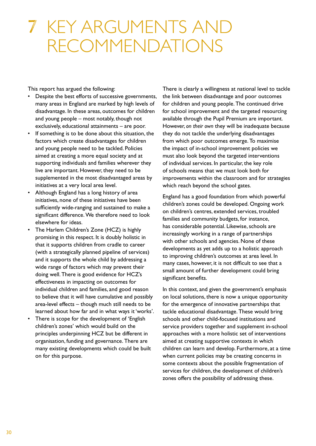## 7 Key arguments and recommendations

This report has argued the following:

- • Despite the best efforts of successive governments, many areas in England are marked by high levels of disadvantage. in these areas, outcomes for children and young people – most notably, though not exclusively, educational attainments – are poor.
- • If something is to be done about this situation, the factors which create disadvantages for children and young people need to be tackled. policies aimed at creating a more equal society and at supporting individuals and families wherever they live are important. However, they need to be supplemented in the most disadvantaged areas by initiatives at a very local area level.
- Although England has a long history of area initiatives, none of these initiatives have been sufficiently wide-ranging and sustained to make a significant difference. We therefore need to look elsewhere for ideas.
- The Harlem Children's Zone (HCZ) is highly promising in this respect. it is doubly holistic in that it supports children from cradle to career (with a strategically planned pipeline of services) and it supports the whole child by addressing a wide range of factors which may prevent their doing well. There is good evidence for HCZ's effectiveness in impacting on outcomes for individual children and families, and good reason to believe that it will have cumulative and possibly area-level effects – though much still needs to be learned about how far and in what ways it 'works'.
- There is scope for the development of 'English children's zones' which would build on the principles underpinning hCZ but be different in organisation, funding and governance. There are many existing developments which could be built on for this purpose.

There is clearly a willingness at national level to tackle the link between disadvantage and poor outcomes for children and young people. The continued drive for school improvement and the targeted resourcing available through the Pupil Premium are important. however, *on their own* they will be inadequate because they do not tackle the underlying disadvantages from which poor outcomes emerge. To maximise the impact of in-school improvement policies we must also look beyond the targeted interventions of individual services. in particular, the key role of schools means that we must look both for improvements within the classroom and for strategies which reach beyond the school gates.

England has a good foundation from which powerful children's zones could be developed. Ongoing work on children's centres, extended services, troubled families and community budgets, for instance, has considerable potential. Likewise, schools are increasingly working in a range of partnerships with other schools and agencies. None of these developments as yet adds up to a holistic approach to improving children's outcomes at area level. in many cases, however, it is not difficult to see that a small amount of further development could bring significant benefits.

In this context, and given the government's emphasis on local solutions, there is now a unique opportunity for the emergence of innovative partnerships that tackle educational disadvantage. These would bring schools and other child-focused institutions and service providers together and supplement in-school approaches with a more holistic set of interventions aimed at creating supportive contexts in which children can learn and develop. furthermore, at a time when current policies may be creating concerns in some contexts about the possible fragmentation of services for children, the development of children's zones offers the possibility of addressing these.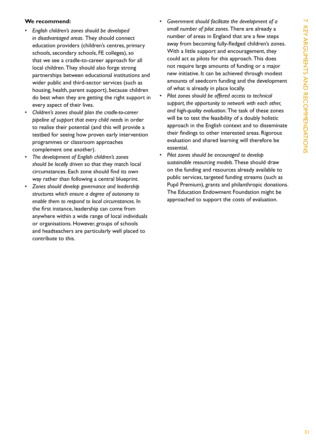### **We recommend:**

- English children's zones should be developed *in disadvantaged areas. They should connect* education providers (children's centres, primary schools, secondary schools, FE colleges), so that we see a cradle-to-career approach for all local children. They should also forge strong partnerships between educational institutions and wider public and third-sector services (such as housing, health, parent support), because children do best when they are getting the right support in every aspect of their lives.
- Children's zones should plan the cradle-to-career *pipeline of support that every child needs* in order to realise their potential (and this will provide a testbed for seeing how proven early intervention programmes or classroom approaches complement one another).
- The development of English children's zones *should be locally driven* so that they match local circumstances. Each zone should find its own way rather than following a central blueprint.
- • *Zones should develop governance and leadership structures which ensure a degree of autonomy to enable them to respond to local circumstances*. in the first instance, leadership can come from anywhere within a wide range of local individuals or organisations. however, groups of schools and headteachers are particularly well placed to contribute to this.
- Government should facilitate the development of a small number of pilot zones. There are already a number of areas in England that are a few steps away from becoming fully-fledged children's zones. With a little support and encouragement, they could act as pilots for this approach. This does not require large amounts of funding or a major new initiative. it can be achieved through modest amounts of seedcorn funding and the development of what is already in place locally.
- Pilot zones should be offered access to technical *support, the opportunity to network with each other,*  and high-quality evaluation. The task of these zones will be to test the feasibility of a doubly holistic approach in the English context and to disseminate their findings to other interested areas. Rigorous evaluation and shared learning will therefore be essential.
- Pilot zones should be encouraged to develop sustainable resourcing models. These should draw on the funding and resources already available to public services, targeted funding streams (such as Pupil Premium), grants and philanthropic donations. The Education Endowment Foundation might be approached to support the costs of evaluation.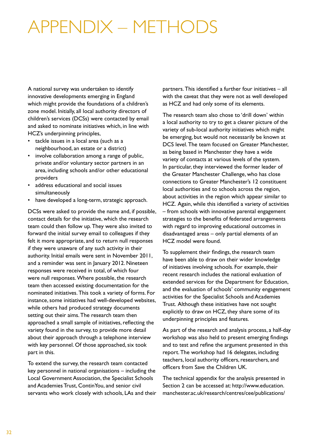## appendix – methods

A national survey was undertaken to identify innovative developments emerging in England which might provide the foundations of a children's zone model. initially, all local authority directors of children's services (DCSs) were contacted by email and asked to nominate initiatives which, in line with hCZ's underpinning principles,

- tackle issues in a local area (such as a neighbourhood, an estate or a district)
- involve collaboration among a range of public, private and/or voluntary sector partners in an area, including schools and/or other educational providers
- address educational and social issues simultaneously
- have developed a long-term, strategic approach.

DCSs were asked to provide the name and, if possible, contact details for the initiative, which the research team could then follow up. They were also invited to forward the initial survey email to colleagues if they felt it more appropriate, and to return null responses if they were unaware of any such activity in their authority. Initial emails were sent in November 2011, and a reminder was sent in January 2012. Nineteen responses were received in total, of which four were null responses. Where possible, the research team then accessed existing documentation for the nominated initiatives. This took a variety of forms. For instance, some initiatives had well-developed websites, while others had produced strategy documents setting out their aims. The research team then approached a small sample of initiatives, reflecting the variety found in the survey, to provide more detail about their approach through a telephone interview with key personnel. Of those approached, six took part in this.

To extend the survey, the research team contacted key personnel in national organisations – including the Local Government Association, the Specialist Schools and Academies Trust, ContinYou, and senior civil servants who work closely with schools, lAs and their

partners. This identified a further four initiatives  $-$  all with the caveat that they were not as well developed as hCZ and had only some of its elements.

The research team also chose to 'drill down' within a local authority to try to get a clearer picture of the variety of sub-local authority initiatives which might be emerging, but would not necessarily be known at DCS level. The team focused on Greater Manchester, as being based in Manchester they have a wide variety of contacts at various levels of the system. in particular, they interviewed the former leader of the greater Manchester Challenge, who has close connections to greater Manchester's 12 constituent local authorities and to schools across the region, about activities in the region which appear similar to hCZ. Again, while this identified a variety of activities – from schools with innovative parental engagement strategies to the benefits of federated arrangements with regard to improving educational outcomes in disadvantaged areas – only partial elements of an hCZ model were found.

To supplement their findings, the research team have been able to draw on their wider knowledge of initiatives involving schools. for example, their recent research includes the national evaluation of extended services for the Department for Education, and the evaluation of schools' community engagement activities for the Specialist Schools and Academies Trust. Although these initiatives have not sought explicitly to draw on HCZ, they share some of its underpinning principles and features.

As part of the research and analysis process, a half-day workshop was also held to present emerging findings and to test and refine the argument presented in this report. The workshop had 16 delegates, including teachers, local authority officers, researchers, and officers from Save the Children UK.

The technical appendix for the analysis presented in section 2 can be accessed at: http://www.education. manchester.ac.uk/research/centres/cee/publications/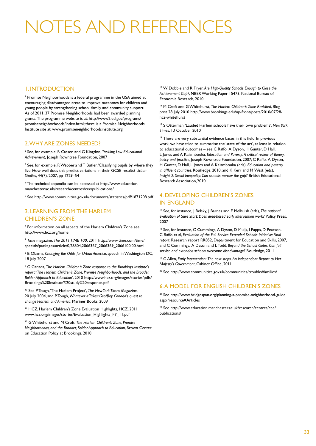# OTFS AND REFERENC

#### 1. introDuCtion

<sup>1</sup> Promise Neighborhoods is a federal programme in the USA aimed at encouraging disadvantaged areas to improve outcomes for children and young people by strengthening school, family and community support. As of 2011, 37 Promise Neighborhoods had been awarded planning grants. The programme website is at: http://www2.ed.gov/programs/ promiseneighborhoods/index.html; there is a Promise Neighborhoods institute site at: www.promiseneighborhoodsinstitute.org

#### 2. Why Are Zones neeDeD?

<sup>2</sup> See, for example, R Cassen and G Kingdon, *Tackling Low Educational* Achievement, Joseph Rowntree Foundation, 2007

<sup>3</sup> See, for example, R Webber and T Butler, 'Classifying pupils by where they live: how well does this predict variations in their gCse results? *Urban Studies*, 44(7), 2007, pp 1229–54

<sup>4</sup> the technical appendix can be accessed at http://www.education. manchester.ac.uk/research/centres/cee/publications/

<sup>5</sup> see http://www.communities.gov.uk/documents/statistics/pdf/1871208.pdf

#### 3. leArning froM the hArleM **CHILDREN'S ZONE**

<sup>6</sup> for information on all aspects of the harlem Children's Zone see http://www.hcz.org/home

<sup>7</sup> *Time* magazine, *The 2011 TIME 100*, 2011 http://www.time.com/time/ specials/packages/article/0,28804,2066367\_2066369\_2066100,00.html

<sup>8</sup> B Obama, *Changing the Odds for Urban America*, speech in Washington DC, 18 July 2007

<sup>9</sup> g Canada, *The Harlem Children's Zone response to the Brookings Institute's report: 'The Harlem Children's Zone, Promise Neighborhoods, and the Broader, Bolder Approach to Education'*, 2010 http://www.hcz.org/images/stories/pdfs/ Brookings%20institute%20study%20response.pdf

<sup>10</sup> See P Tough, 'The Harlem Project', The New York Times Magazine, 20 July 2004, and P Tough, *Whatever it Takes: Geoffrey Canada's quest to change Harlem and America*, Mariner Books, 2009

<sup>11</sup> HCZ, Harlem Children's Zone Evaluation Highlights, HCZ, 2011 www.hcz.org/images/stories/Evaluation\_Highlights\_FY\_11.pdf

<sup>12</sup> g Whitehurst and M Croft, *The Harlem Children's Zone, Promise Neighborhoods, and the Broader, Bolder Approach to Education*, Brown Center on Education Policy at Brookings, 2010

<sup>13</sup> W Dobbie and R Fryer, Are High-Quality Schools Enough to Close the Achievement Gap?, NBER Working Paper 15473, National Bureau of Economic Research, 2010

14 M Croft and g Whitehurst, *The Harlem Children's Zone Revisited*, Blog post 28 July 2010 http://www.brookings.edu/up-front/posts/2010/07/28 hcz-whitehurst

<sup>15</sup> S Otterman, 'Lauded Harlem schools have their own problems', New York *Times*, 13 october 2010

<sup>16</sup> There are very substantial evidence bases in this field. In previous work, we have tried to summarise the 'state of the art', at least in relation to educational outcomes – see C Raffo, A Dyson, H Gunter, D Hall, l Jones and A Kalambouka, *Education and Poverty: A critical review of theory, policy and practice*, Joseph Rowntree Foundation, 2007; C Raffo, A Dyson, h gunter, D hall, l Jones and A Kalambouka (eds), *Education and poverty*  in affluent countries. Routledge, 2010; and K Kerr and M West (eds), *Insight 2: Social inequality: Can schools narrow the gap?* British Educational Research Association, 2010

#### 4. DEVELOPING CHILDREN'S ZONES in englAnD

<sup>17</sup> See, for instance, J Belsky, J Barnes and E Melhuish (eds), *The national* evaluation of Sure Start: Does area-based early intervention work? Policy Press, 2007

<sup>18</sup> See, for instance, C Cummings, A Dyson, D Muijs, I Papps, D Pearson, C Raffo et al, *Evaluation of the Full Service Extended Schools Initiative: Final report*, Research report RR852, Department for Education and Skills, 2007, and C Cummings, A Dyson and L Todd, Beyond the School Gates: Can full service and extended schools overcome disadvantage? Routledge, 2011

<sup>19</sup> G Allen, *Early Intervention: The next steps. An independent Report to Her Majesty's Government*, Cabinet Office, 2011

<sup>20</sup> See http://www.communities.gov.uk/communities/troubledfamilies/

#### 6. A MoDel for english ChilDren's Zones

<sup>21</sup> see http://www.bridgespan.org/planning-a-promise-neighborhood-guide. aspx?resource=Articles

<sup>22</sup> see http://www.education.manchester.ac.uk/research/centres/cee/ publications/